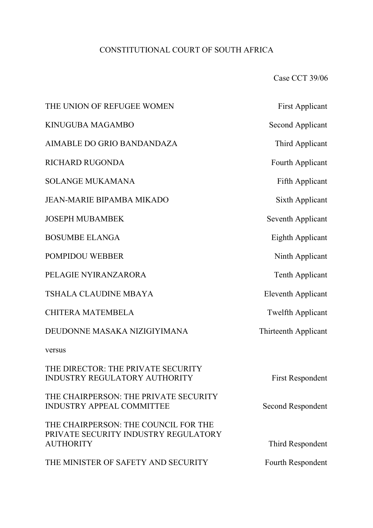# CONSTITUTIONAL COURT OF SOUTH AFRICA

Case CCT 39/06

| THE UNION OF REFUGEE WOMEN                                                                       | <b>First Applicant</b>    |
|--------------------------------------------------------------------------------------------------|---------------------------|
| KINUGUBA MAGAMBO                                                                                 | <b>Second Applicant</b>   |
| AIMABLE DO GRIO BANDANDAZA                                                                       | Third Applicant           |
| RICHARD RUGONDA                                                                                  | Fourth Applicant          |
| <b>SOLANGE MUKAMANA</b>                                                                          | <b>Fifth Applicant</b>    |
| <b>JEAN-MARIE BIPAMBA MIKADO</b>                                                                 | Sixth Applicant           |
| <b>JOSEPH MUBAMBEK</b>                                                                           | Seventh Applicant         |
| <b>BOSUMBE ELANGA</b>                                                                            | Eighth Applicant          |
| POMPIDOU WEBBER                                                                                  | Ninth Applicant           |
| PELAGIE NYIRANZARORA                                                                             | Tenth Applicant           |
| <b>TSHALA CLAUDINE MBAYA</b>                                                                     | <b>Eleventh Applicant</b> |
| <b>CHITERA MATEMBELA</b>                                                                         | <b>Twelfth Applicant</b>  |
| DEUDONNE MASAKA NIZIGIYIMANA                                                                     | Thirteenth Applicant      |
| versus                                                                                           |                           |
| THE DIRECTOR: THE PRIVATE SECURITY<br>INDUSTRY REGULATORY AUTHORITY                              | <b>First Respondent</b>   |
| THE CHAIRPERSON: THE PRIVATE SECURITY<br><b>INDUSTRY APPEAL COMMITTEE</b>                        | Second Respondent         |
| THE CHAIRPERSON: THE COUNCIL FOR THE<br>PRIVATE SECURITY INDUSTRY REGULATORY<br><b>AUTHORITY</b> | Third Respondent          |
| THE MINISTER OF SAFETY AND SECURITY                                                              | Fourth Respondent         |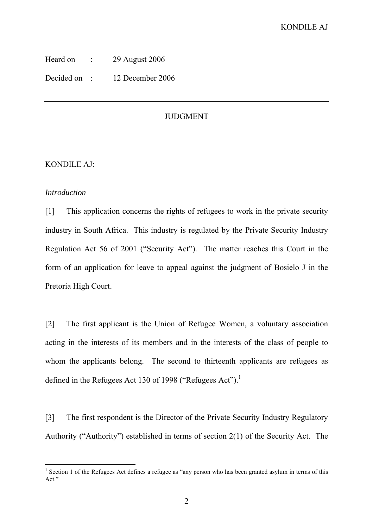| Heard on | 29 August 2006 |
|----------|----------------|
|          |                |

Decided on : 12 December 2006

## JUDGMENT

#### KONDILE AJ:

#### *Introduction*

[1] This application concerns the rights of refugees to work in the private security industry in South Africa. This industry is regulated by the Private Security Industry Regulation Act 56 of 2001 ("Security Act"). The matter reaches this Court in the form of an application for leave to appeal against the judgment of Bosielo J in the Pretoria High Court.

[2] The first applicant is the Union of Refugee Women, a voluntary association acting in the interests of its members and in the interests of the class of people to whom the applicants belong. The second to thirteenth applicants are refugees as defined in the Refugees Act 130 of 1998 ("Refugees Act").<sup>1</sup>

[3] The first respondent is the Director of the Private Security Industry Regulatory Authority ("Authority") established in terms of section 2(1) of the Security Act. The

<sup>&</sup>lt;sup>1</sup> Section 1 of the Refugees Act defines a refugee as "any person who has been granted asylum in terms of this Act."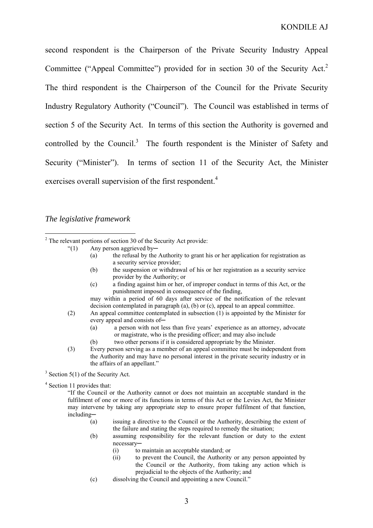second respondent is the Chairperson of the Private Security Industry Appeal Committee ("Appeal Committee") provided for in section 30 of the Security Act.<sup>2</sup> The third respondent is the Chairperson of the Council for the Private Security Industry Regulatory Authority ("Council"). The Council was established in terms of section 5 of the Security Act. In terms of this section the Authority is governed and controlled by the Council. $3$  The fourth respondent is the Minister of Safety and Security ("Minister"). In terms of section 11 of the Security Act, the Minister exercises overall supervision of the first respondent.<sup>4</sup>

### *The legislative framework*

- "(1) Any person aggrieved by─
	- (a) the refusal by the Authority to grant his or her application for registration as a security service provider;
	- (b) the suspension or withdrawal of his or her registration as a security service provider by the Authority; or
	- (c) a finding against him or her, of improper conduct in terms of this Act, or the punishment imposed in consequence of the finding,

may within a period of 60 days after service of the notification of the relevant decision contemplated in paragraph (a), (b) or (c), appeal to an appeal committee.

- (2) An appeal committee contemplated in subsection  $(1)$  is appointed by the Minister for every appeal and consists of-
	- (a) a person with not less than five years' experience as an attorney, advocate or magistrate, who is the presiding officer; and may also include
	- (b) two other persons if it is considered appropriate by the Minister.
- (3) Every person serving as a member of an appeal committee must be independent from the Authority and may have no personal interest in the private security industry or in the affairs of an appellant."

 $3$  Section 5(1) of the Security Act.

<sup>4</sup> Section 11 provides that:

"If the Council or the Authority cannot or does not maintain an acceptable standard in the fulfilment of one or more of its functions in terms of this Act or the Levies Act, the Minister may intervene by taking any appropriate step to ensure proper fulfilment of that function, including─

- (a) issuing a directive to the Council or the Authority, describing the extent of the failure and stating the steps required to remedy the situation;
- (b) assuming responsibility for the relevant function or duty to the extent necessary─
	- (i) to maintain an acceptable standard; or
	- (ii) to prevent the Council, the Authority or any person appointed by the Council or the Authority, from taking any action which is prejudicial to the objects of the Authority; and
- (c) dissolving the Council and appointing a new Council."

 $\frac{1}{2}$  $2$  The relevant portions of section 30 of the Security Act provide: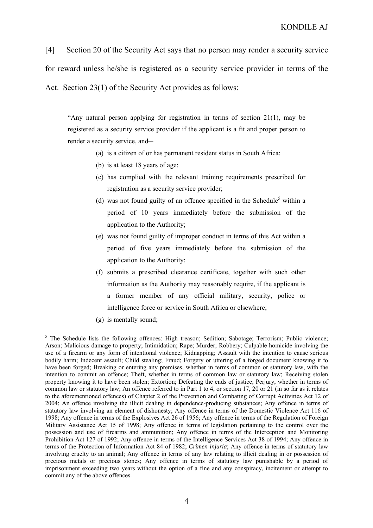[4] Section 20 of the Security Act says that no person may render a security service for reward unless he/she is registered as a security service provider in terms of the Act. Section 23(1) of the Security Act provides as follows:

"Any natural person applying for registration in terms of section  $21(1)$ , may be registered as a security service provider if the applicant is a fit and proper person to render a security service, and-

- (a) is a citizen of or has permanent resident status in South Africa;
- (b) is at least 18 years of age;
- (c) has complied with the relevant training requirements prescribed for registration as a security service provider;
- (d) was not found guilty of an offence specified in the Schedule<sup>5</sup> within a period of 10 years immediately before the submission of the application to the Authority;
- (e) was not found guilty of improper conduct in terms of this Act within a period of five years immediately before the submission of the application to the Authority;
- (f) submits a prescribed clearance certificate, together with such other information as the Authority may reasonably require, if the applicant is a former member of any official military, security, police or intelligence force or service in South Africa or elsewhere;
- (g) is mentally sound;

<sup>&</sup>lt;sup>5</sup> The Schedule lists the following offences: High treason; Sedition; Sabotage; Terrorism; Public violence; Arson; Malicious damage to property; Intimidation; Rape; Murder; Robbery; Culpable homicide involving the use of a firearm or any form of intentional violence; Kidnapping; Assault with the intention to cause serious bodily harm; Indecent assault; Child stealing; Fraud; Forgery or uttering of a forged document knowing it to have been forged; Breaking or entering any premises, whether in terms of common or statutory law, with the intention to commit an offence; Theft, whether in terms of common law or statutory law; Receiving stolen property knowing it to have been stolen; Extortion; Defeating the ends of justice; Perjury, whether in terms of common law or statutory law; An offence referred to in Part 1 to 4, or section 17, 20 or 21 (in so far as it relates to the aforementioned offences) of Chapter 2 of the Prevention and Combating of Corrupt Activities Act 12 of 2004; An offence involving the illicit dealing in dependence-producing substances; Any offence in terms of statutory law involving an element of dishonesty; Any offence in terms of the Domestic Violence Act 116 of 1998; Any offence in terms of the Explosives Act 26 of 1956; Any offence in terms of the Regulation of Foreign Military Assistance Act 15 of 1998; Any offence in terms of legislation pertaining to the control over the possession and use of firearms and ammunition; Any offence in terms of the Interception and Monitoring Prohibition Act 127 of 1992; Any offence in terms of the Intelligence Services Act 38 of 1994; Any offence in terms of the Protection of Information Act 84 of 1982; *Crimen injuria*; Any offence in terms of statutory law involving cruelty to an animal; Any offence in terms of any law relating to illicit dealing in or possession of precious metals or precious stones; Any offence in terms of statutory law punishable by a period of imprisonment exceeding two years without the option of a fine and any conspiracy, incitement or attempt to commit any of the above offences.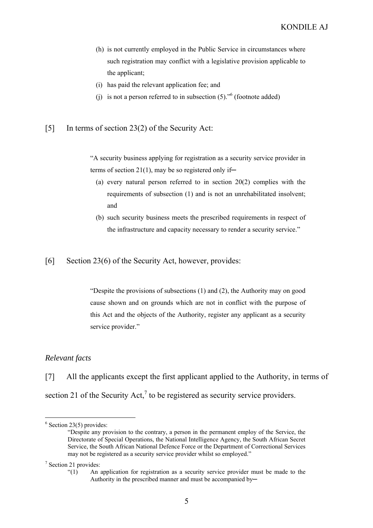- (h) is not currently employed in the Public Service in circumstances where such registration may conflict with a legislative provision applicable to the applicant;
- (i) has paid the relevant application fee; and
- (j) is not a person referred to in subsection  $(5)$ .<sup>56</sup> (footnote added)

#### [5] In terms of section 23(2) of the Security Act:

"A security business applying for registration as a security service provider in terms of section 21(1), may be so registered only if—

- (a) every natural person referred to in section 20(2) complies with the requirements of subsection (1) and is not an unrehabilitated insolvent; and
- (b) such security business meets the prescribed requirements in respect of the infrastructure and capacity necessary to render a security service."

[6] Section 23(6) of the Security Act, however, provides:

> "Despite the provisions of subsections (1) and (2), the Authority may on good cause shown and on grounds which are not in conflict with the purpose of this Act and the objects of the Authority, register any applicant as a security service provider."

#### *Relevant facts*

[7] All the applicants except the first applicant applied to the Authority, in terms of section 21 of the Security Act,<sup>7</sup> to be registered as security service providers.

 $6$  Section 23(5) provides:

<sup>&</sup>quot;Despite any provision to the contrary, a person in the permanent employ of the Service, the Directorate of Special Operations, the National Intelligence Agency, the South African Secret Service, the South African National Defence Force or the Department of Correctional Services may not be registered as a security service provider whilst so employed."

<sup>&</sup>lt;sup>7</sup> Section 21 provides:

<sup>&</sup>quot;(1) An application for registration as a security service provider must be made to the Authority in the prescribed manner and must be accompanied by—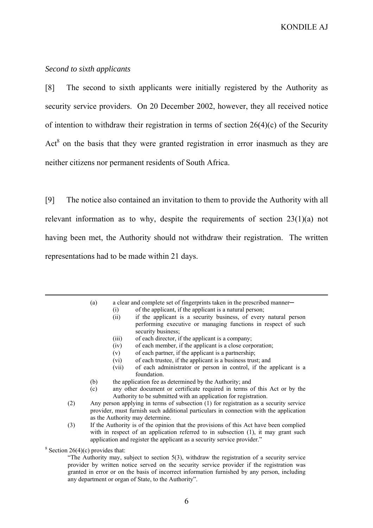#### *Second to sixth applicants*

[8] The second to sixth applicants were initially registered by the Authority as security service providers. On 20 December 2002, however, they all received notice of intention to withdraw their registration in terms of section  $26(4)(c)$  of the Security  $Act<sup>8</sup>$  on the basis that they were granted registration in error inasmuch as they are neither citizens nor permanent residents of South Africa.

[9] The notice also contained an invitation to them to provide the Authority with all relevant information as to why, despite the requirements of section 23(1)(a) not having been met, the Authority should not withdraw their registration. The written representations had to be made within 21 days.

(a) a clear and complete set of fingerprints taken in the prescribed manner—

- (i) of the applicant, if the applicant is a natural person;
- (ii) if the applicant is a security business, of every natural person performing executive or managing functions in respect of such security business;
- (iii) of each director, if the applicant is a company;
- (iv) of each member, if the applicant is a close corporation;
- (v) of each partner, if the applicant is a partnership;
- (vi) of each trustee, if the applicant is a business trust; and
- (vii) of each administrator or person in control, if the applicant is a foundation.
- (b) the application fee as determined by the Authority; and
- (c) any other document or certificate required in terms of this Act or by the Authority to be submitted with an application for registration.
- (2) Any person applying in terms of subsection (1) for registration as a security service provider, must furnish such additional particulars in connection with the application as the Authority may determine.
- (3) If the Authority is of the opinion that the provisions of this Act have been complied with in respect of an application referred to in subsection (1), it may grant such application and register the applicant as a security service provider."

<sup>8</sup> Section 26(4)(c) provides that:

<sup>&</sup>quot;The Authority may, subject to section 5(3), withdraw the registration of a security service provider by written notice served on the security service provider if the registration was granted in error or on the basis of incorrect information furnished by any person, including any department or organ of State, to the Authority".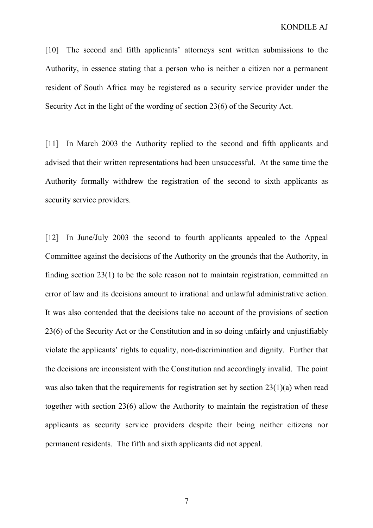[10] The second and fifth applicants' attorneys sent written submissions to the Authority, in essence stating that a person who is neither a citizen nor a permanent resident of South Africa may be registered as a security service provider under the Security Act in the light of the wording of section 23(6) of the Security Act.

[11] In March 2003 the Authority replied to the second and fifth applicants and advised that their written representations had been unsuccessful. At the same time the Authority formally withdrew the registration of the second to sixth applicants as security service providers.

[12] In June/July 2003 the second to fourth applicants appealed to the Appeal Committee against the decisions of the Authority on the grounds that the Authority, in finding section 23(1) to be the sole reason not to maintain registration, committed an error of law and its decisions amount to irrational and unlawful administrative action. It was also contended that the decisions take no account of the provisions of section 23(6) of the Security Act or the Constitution and in so doing unfairly and unjustifiably violate the applicants' rights to equality, non-discrimination and dignity. Further that the decisions are inconsistent with the Constitution and accordingly invalid. The point was also taken that the requirements for registration set by section 23(1)(a) when read together with section 23(6) allow the Authority to maintain the registration of these applicants as security service providers despite their being neither citizens nor permanent residents. The fifth and sixth applicants did not appeal.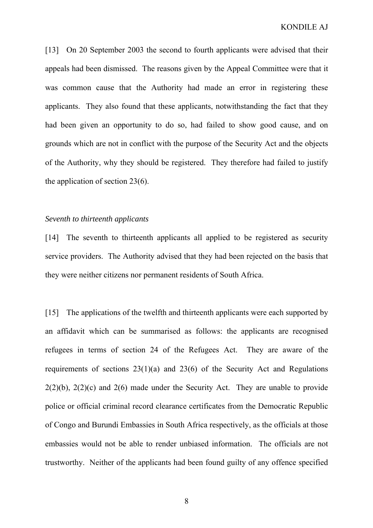[13] On 20 September 2003 the second to fourth applicants were advised that their appeals had been dismissed. The reasons given by the Appeal Committee were that it was common cause that the Authority had made an error in registering these applicants. They also found that these applicants, notwithstanding the fact that they had been given an opportunity to do so, had failed to show good cause, and on grounds which are not in conflict with the purpose of the Security Act and the objects of the Authority, why they should be registered. They therefore had failed to justify the application of section 23(6).

#### *Seventh to thirteenth applicants*

[14] The seventh to thirteenth applicants all applied to be registered as security service providers. The Authority advised that they had been rejected on the basis that they were neither citizens nor permanent residents of South Africa.

[15] The applications of the twelfth and thirteenth applicants were each supported by an affidavit which can be summarised as follows: the applicants are recognised refugees in terms of section 24 of the Refugees Act. They are aware of the requirements of sections 23(1)(a) and 23(6) of the Security Act and Regulations  $2(2)(b)$ ,  $2(2)(c)$  and  $2(6)$  made under the Security Act. They are unable to provide police or official criminal record clearance certificates from the Democratic Republic of Congo and Burundi Embassies in South Africa respectively, as the officials at those embassies would not be able to render unbiased information. The officials are not trustworthy. Neither of the applicants had been found guilty of any offence specified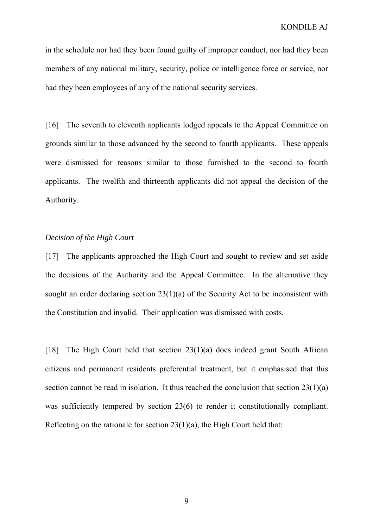in the schedule nor had they been found guilty of improper conduct, nor had they been members of any national military, security, police or intelligence force or service, nor had they been employees of any of the national security services.

[16] The seventh to eleventh applicants lodged appeals to the Appeal Committee on grounds similar to those advanced by the second to fourth applicants. These appeals were dismissed for reasons similar to those furnished to the second to fourth applicants. The twelfth and thirteenth applicants did not appeal the decision of the Authority.

#### *Decision of the High Court*

[17] The applicants approached the High Court and sought to review and set aside the decisions of the Authority and the Appeal Committee. In the alternative they sought an order declaring section 23(1)(a) of the Security Act to be inconsistent with the Constitution and invalid. Their application was dismissed with costs.

[18] The High Court held that section 23(1)(a) does indeed grant South African citizens and permanent residents preferential treatment, but it emphasised that this section cannot be read in isolation. It thus reached the conclusion that section 23(1)(a) was sufficiently tempered by section 23(6) to render it constitutionally compliant. Reflecting on the rationale for section  $23(1)(a)$ , the High Court held that: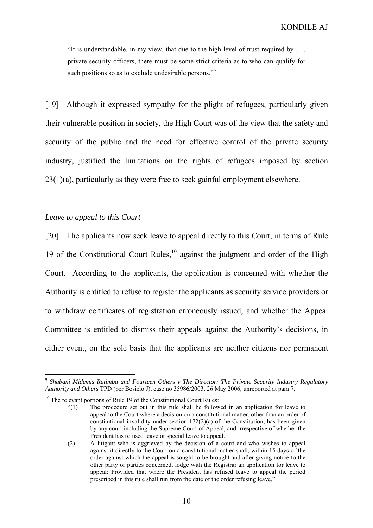"It is understandable, in my view, that due to the high level of trust required by . . . private security officers, there must be some strict criteria as to who can qualify for such positions so as to exclude undesirable persons."<sup>9</sup>

[19] Although it expressed sympathy for the plight of refugees, particularly given their vulnerable position in society, the High Court was of the view that the safety and security of the public and the need for effective control of the private security industry, justified the limitations on the rights of refugees imposed by section 23(1)(a), particularly as they were free to seek gainful employment elsewhere.

### *Leave to appeal to this Court*

[20] The applicants now seek leave to appeal directly to this Court, in terms of Rule 19 of the Constitutional Court Rules, $10$  against the judgment and order of the High Court. According to the applicants, the application is concerned with whether the Authority is entitled to refuse to register the applicants as security service providers or to withdraw certificates of registration erroneously issued, and whether the Appeal Committee is entitled to dismiss their appeals against the Authority's decisions, in either event, on the sole basis that the applicants are neither citizens nor permanent

<sup>9</sup> *Shabani Midemis Rutimba and Fourteen Others v The Director: The Private Security Industry Regulatory Authority and Others* TPD (per Bosielo J), case no 35986/2003, 26 May 2006, unreported at para 7.

 $10$  The relevant portions of Rule 19 of the Constitutional Court Rules:

<sup>&</sup>quot;(1) The procedure set out in this rule shall be followed in an application for leave to appeal to the Court where a decision on a constitutional matter, other than an order of constitutional invalidity under section 172(2)(a) of the Constitution, has been given by any court including the Supreme Court of Appeal, and irrespective of whether the President has refused leave or special leave to appeal.

<sup>(2)</sup> A litigant who is aggrieved by the decision of a court and who wishes to appeal against it directly to the Court on a constitutional matter shall, within 15 days of the order against which the appeal is sought to be brought and after giving notice to the other party or parties concerned, lodge with the Registrar an application for leave to appeal: Provided that where the President has refused leave to appeal the period prescribed in this rule shall run from the date of the order refusing leave."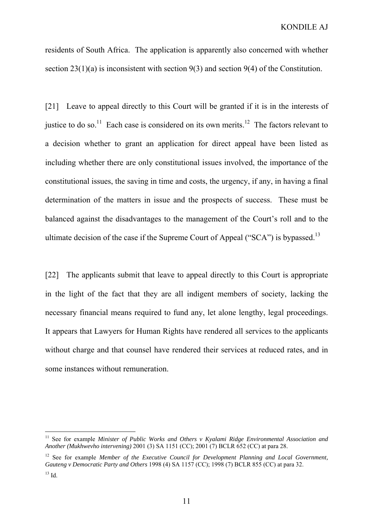residents of South Africa. The application is apparently also concerned with whether section 23(1)(a) is inconsistent with section 9(3) and section 9(4) of the Constitution.

[21] Leave to appeal directly to this Court will be granted if it is in the interests of justice to do so.<sup>11</sup> Each case is considered on its own merits.<sup>12</sup> The factors relevant to a decision whether to grant an application for direct appeal have been listed as including whether there are only constitutional issues involved, the importance of the constitutional issues, the saving in time and costs, the urgency, if any, in having a final determination of the matters in issue and the prospects of success. These must be balanced against the disadvantages to the management of the Court's roll and to the ultimate decision of the case if the Supreme Court of Appeal (" $SCA$ ") is bypassed.<sup>13</sup>

[22] The applicants submit that leave to appeal directly to this Court is appropriate in the light of the fact that they are all indigent members of society, lacking the necessary financial means required to fund any, let alone lengthy, legal proceedings. It appears that Lawyers for Human Rights have rendered all services to the applicants without charge and that counsel have rendered their services at reduced rates, and in some instances without remuneration.

<sup>11</sup> See for example *Minister of Public Works and Others v Kyalami Ridge Environmental Association and Another (Mukhwevho intervening)* 2001 (3) SA 1151 (CC); 2001 (7) BCLR 652 (CC) at para 28.

<sup>&</sup>lt;sup>12</sup> See for example *Member of the Executive Council for Development Planning and Local Government, Gauteng v Democratic Party and Others* 1998 (4) SA 1157 (CC); 1998 (7) BCLR 855 (CC) at para 32.  $13$  Id.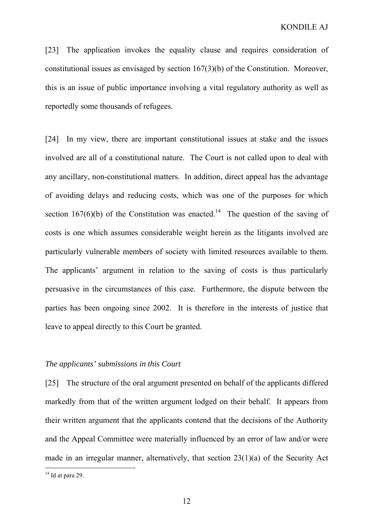[23] The application invokes the equality clause and requires consideration of constitutional issues as envisaged by section 167(3)(b) of the Constitution. Moreover, this is an issue of public importance involving a vital regulatory authority as well as reportedly some thousands of refugees.

[24] In my view, there are important constitutional issues at stake and the issues involved are all of a constitutional nature. The Court is not called upon to deal with any ancillary, non-constitutional matters. In addition, direct appeal has the advantage of avoiding delays and reducing costs, which was one of the purposes for which section 167(6)(b) of the Constitution was enacted.<sup>14</sup> The question of the saving of costs is one which assumes considerable weight herein as the litigants involved are particularly vulnerable members of society with limited resources available to them. The applicants' argument in relation to the saving of costs is thus particularly persuasive in the circumstances of this case. Furthermore, the dispute between the parties has been ongoing since 2002. It is therefore in the interests of justice that leave to appeal directly to this Court be granted.

### *The applicants' submissions in this Court*

[25] The structure of the oral argument presented on behalf of the applicants differed markedly from that of the written argument lodged on their behalf. It appears from their written argument that the applicants contend that the decisions of the Authority and the Appeal Committee were materially influenced by an error of law and/or were made in an irregular manner, alternatively, that section 23(1)(a) of the Security Act

 $14$  Id at para 29.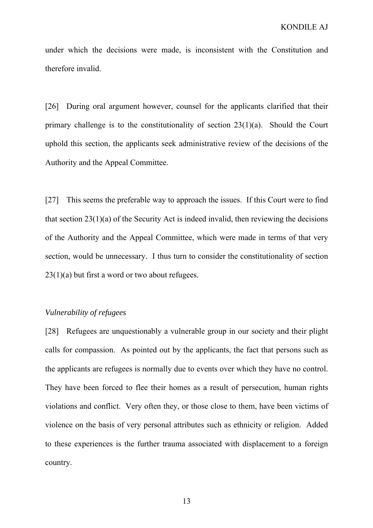under which the decisions were made, is inconsistent with the Constitution and therefore invalid.

[26] During oral argument however, counsel for the applicants clarified that their primary challenge is to the constitutionality of section 23(1)(a). Should the Court uphold this section, the applicants seek administrative review of the decisions of the Authority and the Appeal Committee.

[27] This seems the preferable way to approach the issues. If this Court were to find that section  $23(1)(a)$  of the Security Act is indeed invalid, then reviewing the decisions of the Authority and the Appeal Committee, which were made in terms of that very section, would be unnecessary. I thus turn to consider the constitutionality of section 23(1)(a) but first a word or two about refugees.

#### *Vulnerability of refugees*

[28] Refugees are unquestionably a vulnerable group in our society and their plight calls for compassion. As pointed out by the applicants, the fact that persons such as the applicants are refugees is normally due to events over which they have no control. They have been forced to flee their homes as a result of persecution, human rights violations and conflict. Very often they, or those close to them, have been victims of violence on the basis of very personal attributes such as ethnicity or religion. Added to these experiences is the further trauma associated with displacement to a foreign country.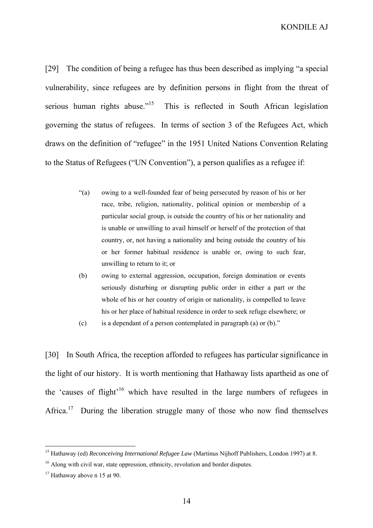KONDILE AJ

[29] The condition of being a refugee has thus been described as implying "a special vulnerability, since refugees are by definition persons in flight from the threat of serious human rights abuse."<sup>15</sup> This is reflected in South African legislation governing the status of refugees. In terms of section 3 of the Refugees Act, which draws on the definition of "refugee" in the 1951 United Nations Convention Relating to the Status of Refugees ("UN Convention"), a person qualifies as a refugee if:

- "(a) owing to a well-founded fear of being persecuted by reason of his or her race, tribe, religion, nationality, political opinion or membership of a particular social group, is outside the country of his or her nationality and is unable or unwilling to avail himself or herself of the protection of that country, or, not having a nationality and being outside the country of his or her former habitual residence is unable or, owing to such fear, unwilling to return to it; or
- (b) owing to external aggression, occupation, foreign domination or events seriously disturbing or disrupting public order in either a part or the whole of his or her country of origin or nationality, is compelled to leave his or her place of habitual residence in order to seek refuge elsewhere; or
- (c) is a dependant of a person contemplated in paragraph (a) or  $(b)$ ."

[30] In South Africa, the reception afforded to refugees has particular significance in the light of our history. It is worth mentioning that Hathaway lists apartheid as one of the 'causes of flight'<sup>16</sup> which have resulted in the large numbers of refugees in Africa.<sup>17</sup> During the liberation struggle many of those who now find themselves

<sup>&</sup>lt;sup>15</sup> Hathaway (ed) *Reconceiving International Refugee Law* (Martinus Nijhoff Publishers, London 1997) at 8.

<sup>&</sup>lt;sup>16</sup> Along with civil war, state oppression, ethnicity, revolution and border disputes.

 $17$  Hathaway above n 15 at 90.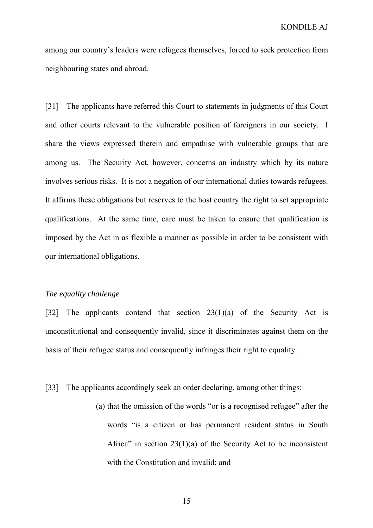among our country's leaders were refugees themselves, forced to seek protection from neighbouring states and abroad.

[31] The applicants have referred this Court to statements in judgments of this Court and other courts relevant to the vulnerable position of foreigners in our society. I share the views expressed therein and empathise with vulnerable groups that are among us. The Security Act, however, concerns an industry which by its nature involves serious risks. It is not a negation of our international duties towards refugees. It affirms these obligations but reserves to the host country the right to set appropriate qualifications. At the same time, care must be taken to ensure that qualification is imposed by the Act in as flexible a manner as possible in order to be consistent with our international obligations.

#### *The equality challenge*

[32] The applicants contend that section 23(1)(a) of the Security Act is unconstitutional and consequently invalid, since it discriminates against them on the basis of their refugee status and consequently infringes their right to equality.

[33] The applicants accordingly seek an order declaring, among other things:

(a) that the omission of the words "or is a recognised refugee" after the words "is a citizen or has permanent resident status in South Africa" in section  $23(1)(a)$  of the Security Act to be inconsistent with the Constitution and invalid; and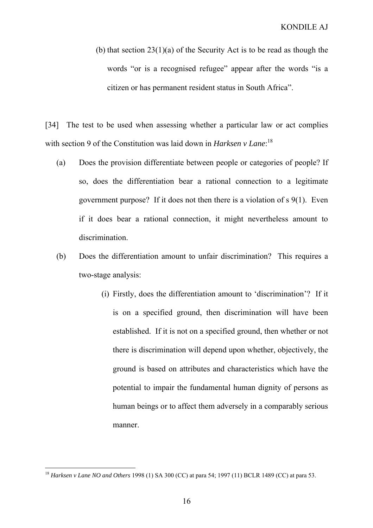(b) that section 23(1)(a) of the Security Act is to be read as though the words "or is a recognised refugee" appear after the words "is a citizen or has permanent resident status in South Africa".

[34] The test to be used when assessing whether a particular law or act complies with section 9 of the Constitution was laid down in *Harksen v Lane*: 18

- (a) Does the provision differentiate between people or categories of people? If so, does the differentiation bear a rational connection to a legitimate government purpose? If it does not then there is a violation of s 9(1). Even if it does bear a rational connection, it might nevertheless amount to discrimination.
- (b) Does the differentiation amount to unfair discrimination? This requires a two-stage analysis:
	- (i) Firstly, does the differentiation amount to 'discrimination'? If it is on a specified ground, then discrimination will have been established. If it is not on a specified ground, then whether or not there is discrimination will depend upon whether, objectively, the ground is based on attributes and characteristics which have the potential to impair the fundamental human dignity of persons as human beings or to affect them adversely in a comparably serious manner.

<sup>18</sup> *Harksen v Lane NO and Others* 1998 (1) SA 300 (CC) at para 54; 1997 (11) BCLR 1489 (CC) at para 53.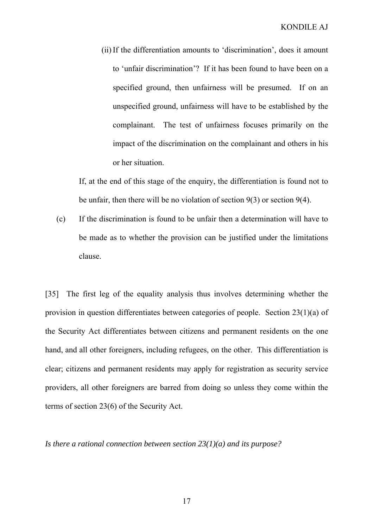(ii)If the differentiation amounts to 'discrimination', does it amount to 'unfair discrimination'? If it has been found to have been on a specified ground, then unfairness will be presumed. If on an unspecified ground, unfairness will have to be established by the complainant. The test of unfairness focuses primarily on the impact of the discrimination on the complainant and others in his or her situation.

If, at the end of this stage of the enquiry, the differentiation is found not to be unfair, then there will be no violation of section 9(3) or section 9(4).

(c) If the discrimination is found to be unfair then a determination will have to be made as to whether the provision can be justified under the limitations clause.

[35] The first leg of the equality analysis thus involves determining whether the provision in question differentiates between categories of people. Section 23(1)(a) of the Security Act differentiates between citizens and permanent residents on the one hand, and all other foreigners, including refugees, on the other. This differentiation is clear; citizens and permanent residents may apply for registration as security service providers, all other foreigners are barred from doing so unless they come within the terms of section 23(6) of the Security Act.

*Is there a rational connection between section 23(1)(a) and its purpose?*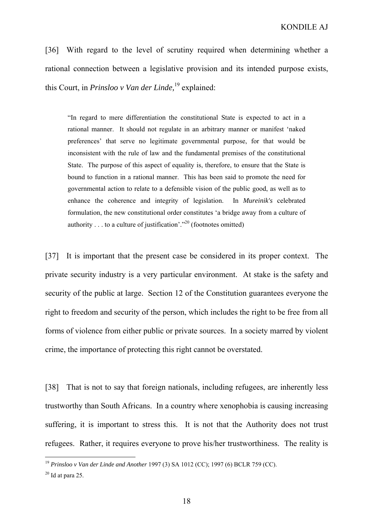[36] With regard to the level of scrutiny required when determining whether a rational connection between a legislative provision and its intended purpose exists, this Court, in *Prinsloo v Van der Linde,*<sup>19</sup> explained:

"In regard to mere differentiation the constitutional State is expected to act in a rational manner. It should not regulate in an arbitrary manner or manifest 'naked preferences' that serve no legitimate governmental purpose, for that would be inconsistent with the rule of law and the fundamental premises of the constitutional State. The purpose of this aspect of equality is, therefore, to ensure that the State is bound to function in a rational manner. This has been said to promote the need for governmental action to relate to a defensible vision of the public good, as well as to enhance the coherence and integrity of legislation. In *Mureinik's* celebrated formulation, the new constitutional order constitutes 'a bridge away from a culture of authority  $\ldots$  to a culture of justification'."<sup>20</sup> (footnotes omitted)

[37] It is important that the present case be considered in its proper context. The private security industry is a very particular environment. At stake is the safety and security of the public at large. Section 12 of the Constitution guarantees everyone the right to freedom and security of the person, which includes the right to be free from all forms of violence from either public or private sources. In a society marred by violent crime, the importance of protecting this right cannot be overstated.

[38] That is not to say that foreign nationals, including refugees, are inherently less trustworthy than South Africans. In a country where xenophobia is causing increasing suffering, it is important to stress this. It is not that the Authority does not trust refugees. Rather, it requires everyone to prove his/her trustworthiness. The reality is

<sup>19</sup> *Prinsloo v Van der Linde and Another* 1997 (3) SA 1012 (CC); 1997 (6) BCLR 759 (CC).

 $20$  Id at para 25.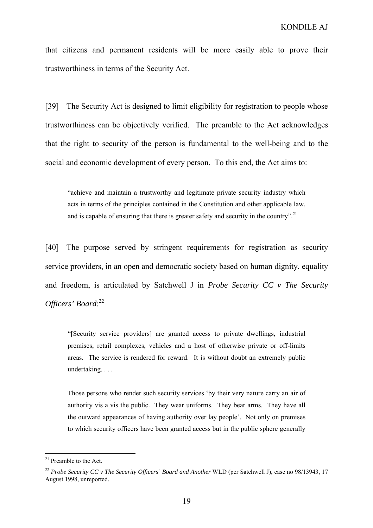that citizens and permanent residents will be more easily able to prove their trustworthiness in terms of the Security Act.

[39] The Security Act is designed to limit eligibility for registration to people whose trustworthiness can be objectively verified. The preamble to the Act acknowledges that the right to security of the person is fundamental to the well-being and to the social and economic development of every person. To this end, the Act aims to:

"achieve and maintain a trustworthy and legitimate private security industry which acts in terms of the principles contained in the Constitution and other applicable law, and is capable of ensuring that there is greater safety and security in the country".<sup>21</sup>

[40] The purpose served by stringent requirements for registration as security service providers, in an open and democratic society based on human dignity, equality and freedom, is articulated by Satchwell J in *Probe Security CC v The Security Officers' Board*: 22

"[Security service providers] are granted access to private dwellings, industrial premises, retail complexes, vehicles and a host of otherwise private or off-limits areas. The service is rendered for reward. It is without doubt an extremely public undertaking. . . .

Those persons who render such security services 'by their very nature carry an air of authority vis a vis the public. They wear uniforms. They bear arms. They have all the outward appearances of having authority over lay people'. Not only on premises to which security officers have been granted access but in the public sphere generally

<sup>&</sup>lt;sup>21</sup> Preamble to the Act.

<sup>&</sup>lt;sup>22</sup> Probe Security CC v The Security Officers' Board and Another WLD (per Satchwell J), case no 98/13943, 17 August 1998, unreported.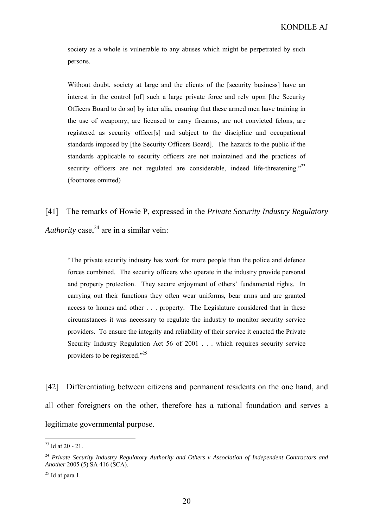society as a whole is vulnerable to any abuses which might be perpetrated by such persons.

Without doubt, society at large and the clients of the [security business] have an interest in the control [of] such a large private force and rely upon [the Security Officers Board to do so] by inter alia, ensuring that these armed men have training in the use of weaponry, are licensed to carry firearms, are not convicted felons, are registered as security officer[s] and subject to the discipline and occupational standards imposed by [the Security Officers Board]. The hazards to the public if the standards applicable to security officers are not maintained and the practices of security officers are not regulated are considerable, indeed life-threatening."<sup>23</sup> (footnotes omitted)

[41] The remarks of Howie P, expressed in the *Private Security Industry Regulatory Authority* case.<sup>24</sup> are in a similar vein:

"The private security industry has work for more people than the police and defence forces combined. The security officers who operate in the industry provide personal and property protection. They secure enjoyment of others' fundamental rights. In carrying out their functions they often wear uniforms, bear arms and are granted access to homes and other . . . property. The Legislature considered that in these circumstances it was necessary to regulate the industry to monitor security service providers. To ensure the integrity and reliability of their service it enacted the Private Security Industry Regulation Act 56 of 2001 . . . which requires security service providers to be registered."<sup>25</sup>

[42] Differentiating between citizens and permanent residents on the one hand, and all other foreigners on the other, therefore has a rational foundation and serves a legitimate governmental purpose.

 $23$  Id at 20 - 21.

<sup>24</sup> *Private Security Industry Regulatory Authority and Others v Association of Independent Contractors and Another* 2005 (5) SA 416 (SCA).

 $25$  Id at para 1.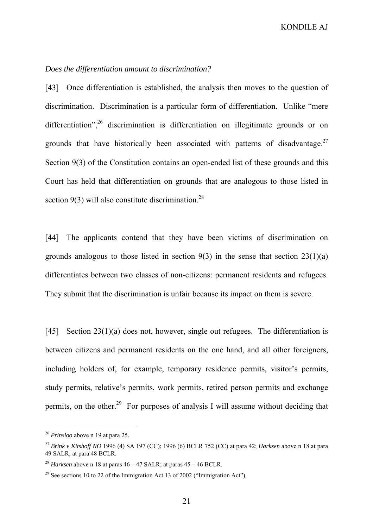### *Does the differentiation amount to discrimination?*

[43] Once differentiation is established, the analysis then moves to the question of discrimination. Discrimination is a particular form of differentiation. Unlike "mere differentiation",  $26$  discrimination is differentiation on illegitimate grounds or on grounds that have historically been associated with patterns of disadvantage. $27$ Section 9(3) of the Constitution contains an open-ended list of these grounds and this Court has held that differentiation on grounds that are analogous to those listed in section  $9(3)$  will also constitute discrimination.<sup>28</sup>

[44] The applicants contend that they have been victims of discrimination on grounds analogous to those listed in section  $9(3)$  in the sense that section  $23(1)(a)$ differentiates between two classes of non-citizens: permanent residents and refugees. They submit that the discrimination is unfair because its impact on them is severe.

[45] Section 23(1)(a) does not, however, single out refugees. The differentiation is between citizens and permanent residents on the one hand, and all other foreigners, including holders of, for example, temporary residence permits, visitor's permits, study permits, relative's permits, work permits, retired person permits and exchange permits, on the other.<sup>29</sup> For purposes of analysis I will assume without deciding that

<sup>26</sup> *Prinsloo* above n 19 at para 25.

<sup>27</sup> *Brink v Kitshoff NO* 1996 (4) SA 197 (CC); 1996 (6) BCLR 752 (CC) at para 42; *Harksen* above n 18 at para 49 SALR; at para 48 BCLR.

<sup>&</sup>lt;sup>28</sup> *Harksen* above n 18 at paras  $46 - 47$  SALR; at paras  $45 - 46$  BCLR.

<sup>&</sup>lt;sup>29</sup> See sections 10 to 22 of the Immigration Act 13 of 2002 ("Immigration Act").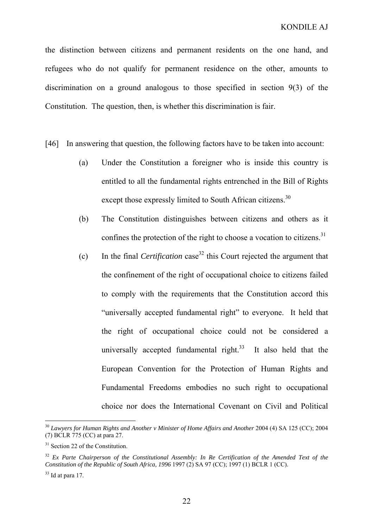the distinction between citizens and permanent residents on the one hand, and refugees who do not qualify for permanent residence on the other, amounts to discrimination on a ground analogous to those specified in section 9(3) of the Constitution. The question, then, is whether this discrimination is fair.

- [46] In answering that question, the following factors have to be taken into account:
	- (a) Under the Constitution a foreigner who is inside this country is entitled to all the fundamental rights entrenched in the Bill of Rights except those expressly limited to South African citizens.<sup>30</sup>
	- (b) The Constitution distinguishes between citizens and others as it confines the protection of the right to choose a vocation to citizens.<sup>31</sup>
	- (c) In the final *Certification* case32 this Court rejected the argument that the confinement of the right of occupational choice to citizens failed to comply with the requirements that the Constitution accord this "universally accepted fundamental right" to everyone. It held that the right of occupational choice could not be considered a universally accepted fundamental right. $33$  It also held that the European Convention for the Protection of Human Rights and Fundamental Freedoms embodies no such right to occupational choice nor does the International Covenant on Civil and Political

<sup>&</sup>lt;sup>30</sup> Lawyers for Human Rights and Another v Minister of Home Affairs and Another 2004 (4) SA 125 (CC); 2004 (7) BCLR 775 (CC) at para 27.

<sup>&</sup>lt;sup>31</sup> Section 22 of the Constitution.

<sup>32</sup> *Ex Parte Chairperson of the Constitutional Assembly: In Re Certification of the Amended Text of the Constitution of the Republic of South Africa, 1996* 1997 (2) SA 97 (CC); 1997 (1) BCLR 1 (CC).

 $33$  Id at para 17.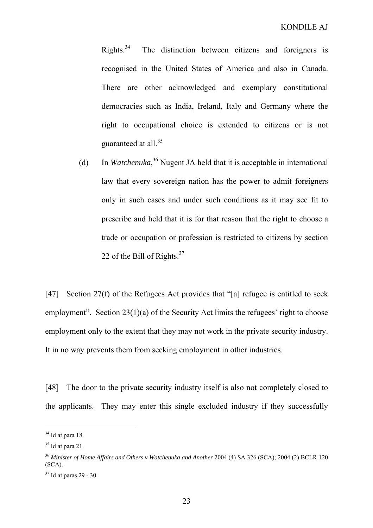Rights.<sup>34</sup> The distinction between citizens and foreigners is recognised in the United States of America and also in Canada. There are other acknowledged and exemplary constitutional democracies such as India, Ireland, Italy and Germany where the right to occupational choice is extended to citizens or is not guaranteed at all.<sup>35</sup>

(d) In *Watchenuka*, 36 Nugent JA held that it is acceptable in international law that every sovereign nation has the power to admit foreigners only in such cases and under such conditions as it may see fit to prescribe and held that it is for that reason that the right to choose a trade or occupation or profession is restricted to citizens by section 22 of the Bill of Rights.<sup>37</sup>

[47] Section 27(f) of the Refugees Act provides that "[a] refugee is entitled to seek employment". Section 23(1)(a) of the Security Act limits the refugees' right to choose employment only to the extent that they may not work in the private security industry. It in no way prevents them from seeking employment in other industries.

[48] The door to the private security industry itself is also not completely closed to the applicants. They may enter this single excluded industry if they successfully

 $34$  Id at para 18.

 $35$  Id at para 21.

<sup>36</sup> *Minister of Home Affairs and Others v Watchenuka and Another* 2004 (4) SA 326 (SCA); 2004 (2) BCLR 120  $(SCA)$ .

 $37$  Id at paras 29 - 30.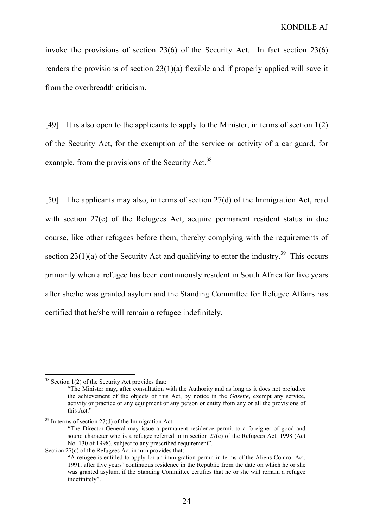invoke the provisions of section 23(6) of the Security Act. In fact section 23(6) renders the provisions of section 23(1)(a) flexible and if properly applied will save it from the overbreadth criticism.

[49] It is also open to the applicants to apply to the Minister, in terms of section 1(2) of the Security Act, for the exemption of the service or activity of a car guard, for example, from the provisions of the Security Act.<sup>38</sup>

[50] The applicants may also, in terms of section 27(d) of the Immigration Act, read with section 27(c) of the Refugees Act, acquire permanent resident status in due course, like other refugees before them, thereby complying with the requirements of section 23(1)(a) of the Security Act and qualifying to enter the industry.<sup>39</sup> This occurs primarily when a refugee has been continuously resident in South Africa for five years after she/he was granted asylum and the Standing Committee for Refugee Affairs has certified that he/she will remain a refugee indefinitely.

 $38$  Section 1(2) of the Security Act provides that:

<sup>&</sup>quot;The Minister may, after consultation with the Authority and as long as it does not prejudice the achievement of the objects of this Act, by notice in the *Gazette*, exempt any service, activity or practice or any equipment or any person or entity from any or all the provisions of this Act."

 $39$  In terms of section 27(d) of the Immigration Act:

<sup>&</sup>quot;The Director-General may issue a permanent residence permit to a foreigner of good and sound character who is a refugee referred to in section 27(c) of the Refugees Act, 1998 (Act No. 130 of 1998), subject to any prescribed requirement".

Section 27(c) of the Refugees Act in turn provides that:

<sup>&</sup>quot;A refugee is entitled to apply for an immigration permit in terms of the Aliens Control Act, 1991, after five years' continuous residence in the Republic from the date on which he or she was granted asylum, if the Standing Committee certifies that he or she will remain a refugee indefinitely".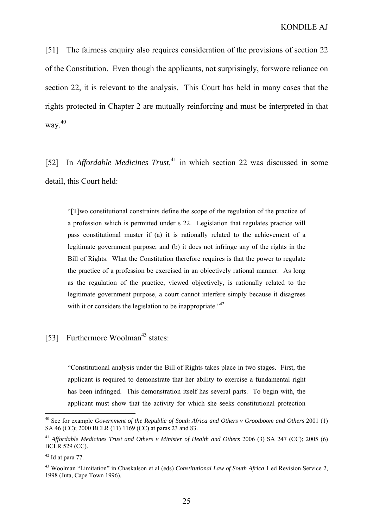[51] The fairness enquiry also requires consideration of the provisions of section 22 of the Constitution. Even though the applicants, not surprisingly, forswore reliance on section 22, it is relevant to the analysis. This Court has held in many cases that the rights protected in Chapter 2 are mutually reinforcing and must be interpreted in that way.40

[52] In *Affordable Medicines Trust*<sup>41</sup> in which section 22 was discussed in some detail, this Court held:

"[T]wo constitutional constraints define the scope of the regulation of the practice of a profession which is permitted under s 22. Legislation that regulates practice will pass constitutional muster if (a) it is rationally related to the achievement of a legitimate government purpose; and (b) it does not infringe any of the rights in the Bill of Rights. What the Constitution therefore requires is that the power to regulate the practice of a profession be exercised in an objectively rational manner. As long as the regulation of the practice, viewed objectively, is rationally related to the legitimate government purpose, a court cannot interfere simply because it disagrees with it or considers the legislation to be inappropriate."<sup>42</sup>

# [53] Furthermore Woolman<sup>43</sup> states:

"Constitutional analysis under the Bill of Rights takes place in two stages. First, the applicant is required to demonstrate that her ability to exercise a fundamental right has been infringed. This demonstration itself has several parts. To begin with, the applicant must show that the activity for which she seeks constitutional protection

<sup>&</sup>lt;sup>40</sup> See for example *Government of the Republic of South Africa and Others v Grootboom and Others* 2001 (1) SA 46 (CC); 2000 BCLR (11) 1169 (CC) at paras 23 and 83.

<sup>&</sup>lt;sup>41</sup> *Affordable Medicines Trust and Others v Minister of Health and Others 2006 (3) SA 247 (CC); 2005 (6)* BCLR 529 (CC).

 $42$  Id at para 77.

<sup>43</sup> Woolman "Limitation" in Chaskalson et al (eds) *Constitutional Law of South Africa* 1 ed Revision Service 2, 1998 (Juta, Cape Town 1996).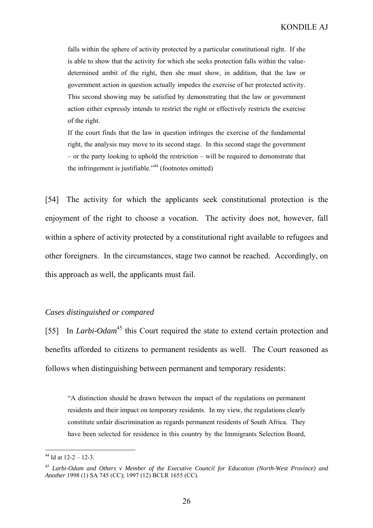falls within the sphere of activity protected by a particular constitutional right. If she is able to show that the activity for which she seeks protection falls within the valuedetermined ambit of the right, then she must show, in addition, that the law or government action in question actually impedes the exercise of her protected activity. This second showing may be satisfied by demonstrating that the law or government action either expressly intends to restrict the right or effectively restricts the exercise of the right.

If the court finds that the law in question infringes the exercise of the fundamental right, the analysis may move to its second stage. In this second stage the government – or the party looking to uphold the restriction – will be required to demonstrate that the infringement is justifiable."<sup>44</sup> (footnotes omitted)

[54] The activity for which the applicants seek constitutional protection is the enjoyment of the right to choose a vocation. The activity does not, however, fall within a sphere of activity protected by a constitutional right available to refugees and other foreigners. In the circumstances, stage two cannot be reached. Accordingly, on this approach as well, the applicants must fail.

#### *Cases distinguished or compared*

[55] In *Larbi-Odam*<sup>45</sup> this Court required the state to extend certain protection and benefits afforded to citizens to permanent residents as well. The Court reasoned as follows when distinguishing between permanent and temporary residents:

"A distinction should be drawn between the impact of the regulations on permanent residents and their impact on temporary residents. In my view, the regulations clearly constitute unfair discrimination as regards permanent residents of South Africa. They have been selected for residence in this country by the Immigrants Selection Board,

 $44$  Id at  $12-2-12-3$ .

<sup>45</sup> *Larbi-Odam and Others v Member of the Executive Council for Education (North-West Province) and Another* 1998 (1) SA 745 (CC); 1997 (12) BCLR 1655 (CC).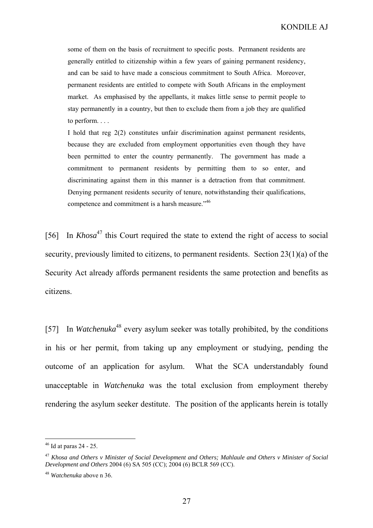some of them on the basis of recruitment to specific posts. Permanent residents are generally entitled to citizenship within a few years of gaining permanent residency, and can be said to have made a conscious commitment to South Africa. Moreover, permanent residents are entitled to compete with South Africans in the employment market. As emphasised by the appellants, it makes little sense to permit people to stay permanently in a country, but then to exclude them from a job they are qualified to perform. . . .

I hold that reg 2(2) constitutes unfair discrimination against permanent residents, because they are excluded from employment opportunities even though they have been permitted to enter the country permanently. The government has made a commitment to permanent residents by permitting them to so enter, and discriminating against them in this manner is a detraction from that commitment. Denying permanent residents security of tenure, notwithstanding their qualifications, competence and commitment is a harsh measure."<sup>46</sup>

[56] In *Khosa*<sup>47</sup> this Court required the state to extend the right of access to social security, previously limited to citizens, to permanent residents. Section 23(1)(a) of the Security Act already affords permanent residents the same protection and benefits as citizens.

[57] In *Watchenuka*<sup>48</sup> every asylum seeker was totally prohibited, by the conditions in his or her permit, from taking up any employment or studying, pending the outcome of an application for asylum. What the SCA understandably found unacceptable in *Watchenuka* was the total exclusion from employment thereby rendering the asylum seeker destitute. The position of the applicants herein is totally

 $46$  Id at paras 24 - 25.

<sup>47</sup> *Khosa and Others v Minister of Social Development and Others; Mahlaule and Others v Minister of Social Development and Others* 2004 (6) SA 505 (CC); 2004 (6) BCLR 569 (CC).

<sup>48</sup> *Watchenuka* above n 36.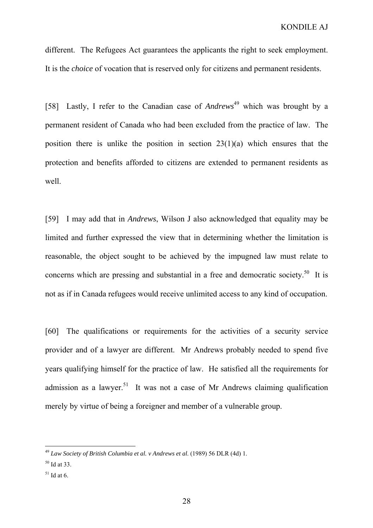different. The Refugees Act guarantees the applicants the right to seek employment. It is the *choice* of vocation that is reserved only for citizens and permanent residents.

[58] Lastly, I refer to the Canadian case of *Andrews*<sup>49</sup> which was brought by a permanent resident of Canada who had been excluded from the practice of law. The position there is unlike the position in section 23(1)(a) which ensures that the protection and benefits afforded to citizens are extended to permanent residents as well.

[59] I may add that in *Andrews*, Wilson J also acknowledged that equality may be limited and further expressed the view that in determining whether the limitation is reasonable, the object sought to be achieved by the impugned law must relate to concerns which are pressing and substantial in a free and democratic society.<sup>50</sup> It is not as if in Canada refugees would receive unlimited access to any kind of occupation.

[60] The qualifications or requirements for the activities of a security service provider and of a lawyer are different. Mr Andrews probably needed to spend five years qualifying himself for the practice of law. He satisfied all the requirements for admission as a lawyer.<sup>51</sup> It was not a case of Mr Andrews claiming qualification merely by virtue of being a foreigner and member of a vulnerable group.

 $\overline{a}$ 

 $51$  Id at 6.

<sup>49</sup> *Law Society of British Columbia et al. v Andrews et al*. (1989) 56 DLR (4d) 1.

 $50$  Id at 33.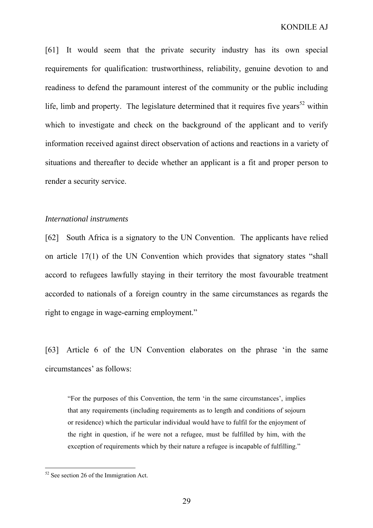[61] It would seem that the private security industry has its own special requirements for qualification: trustworthiness, reliability, genuine devotion to and readiness to defend the paramount interest of the community or the public including life, limb and property. The legislature determined that it requires five years<sup>52</sup> within which to investigate and check on the background of the applicant and to verify information received against direct observation of actions and reactions in a variety of situations and thereafter to decide whether an applicant is a fit and proper person to render a security service.

#### *International instruments*

[62] South Africa is a signatory to the UN Convention. The applicants have relied on article 17(1) of the UN Convention which provides that signatory states "shall accord to refugees lawfully staying in their territory the most favourable treatment accorded to nationals of a foreign country in the same circumstances as regards the right to engage in wage-earning employment."

[63] Article 6 of the UN Convention elaborates on the phrase 'in the same circumstances' as follows:

"For the purposes of this Convention, the term 'in the same circumstances', implies that any requirements (including requirements as to length and conditions of sojourn or residence) which the particular individual would have to fulfil for the enjoyment of the right in question, if he were not a refugee, must be fulfilled by him, with the exception of requirements which by their nature a refugee is incapable of fulfilling."

 $52$  See section 26 of the Immigration Act.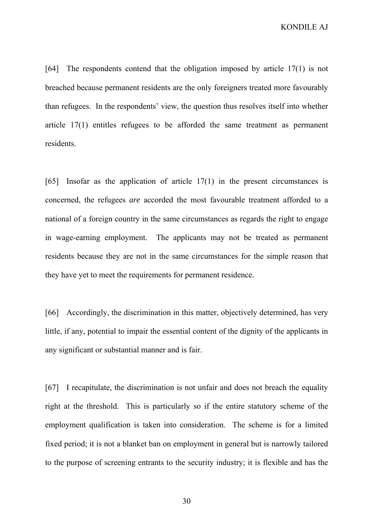KONDILE AJ

[64] The respondents contend that the obligation imposed by article 17(1) is not breached because permanent residents are the only foreigners treated more favourably than refugees. In the respondents' view, the question thus resolves itself into whether article 17(1) entitles refugees to be afforded the same treatment as permanent residents.

[65] Insofar as the application of article 17(1) in the present circumstances is concerned, the refugees *are* accorded the most favourable treatment afforded to a national of a foreign country in the same circumstances as regards the right to engage in wage-earning employment. The applicants may not be treated as permanent residents because they are not in the same circumstances for the simple reason that they have yet to meet the requirements for permanent residence.

[66] Accordingly, the discrimination in this matter, objectively determined, has very little, if any, potential to impair the essential content of the dignity of the applicants in any significant or substantial manner and is fair.

[67] I recapitulate, the discrimination is not unfair and does not breach the equality right at the threshold. This is particularly so if the entire statutory scheme of the employment qualification is taken into consideration. The scheme is for a limited fixed period; it is not a blanket ban on employment in general but is narrowly tailored to the purpose of screening entrants to the security industry; it is flexible and has the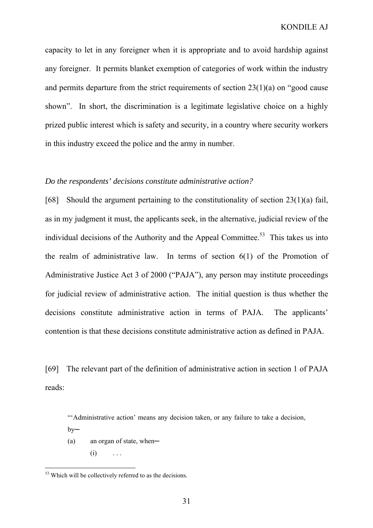capacity to let in any foreigner when it is appropriate and to avoid hardship against any foreigner. It permits blanket exemption of categories of work within the industry and permits departure from the strict requirements of section 23(1)(a) on "good cause shown". In short, the discrimination is a legitimate legislative choice on a highly prized public interest which is safety and security, in a country where security workers in this industry exceed the police and the army in number.

#### *Do the respondents' decisions constitute administrative action?*

[68] Should the argument pertaining to the constitutionality of section 23(1)(a) fail, as in my judgment it must, the applicants seek, in the alternative, judicial review of the individual decisions of the Authority and the Appeal Committee.<sup>53</sup> This takes us into the realm of administrative law. In terms of section 6(1) of the Promotion of Administrative Justice Act 3 of 2000 ("PAJA"), any person may institute proceedings for judicial review of administrative action. The initial question is thus whether the decisions constitute administrative action in terms of PAJA. The applicants' contention is that these decisions constitute administrative action as defined in PAJA.

[69] The relevant part of the definition of administrative action in section 1 of PAJA reads:

"'Administrative action' means any decision taken, or any failure to take a decision,

 $by-$ 

- $(a)$  an organ of state, when—
	- $(i)$  ...

<sup>&</sup>lt;sup>53</sup> Which will be collectively referred to as the decisions.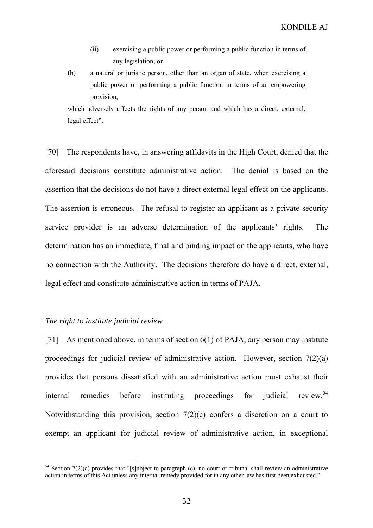- (ii) exercising a public power or performing a public function in terms of any legislation; or
- (b) a natural or juristic person, other than an organ of state, when exercising a public power or performing a public function in terms of an empowering provision,

which adversely affects the rights of any person and which has a direct, external, legal effect".

[70] The respondents have, in answering affidavits in the High Court, denied that the aforesaid decisions constitute administrative action. The denial is based on the assertion that the decisions do not have a direct external legal effect on the applicants. The assertion is erroneous. The refusal to register an applicant as a private security service provider is an adverse determination of the applicants' rights. The determination has an immediate, final and binding impact on the applicants, who have no connection with the Authority. The decisions therefore do have a direct, external, legal effect and constitute administrative action in terms of PAJA.

### *The right to institute judicial review*

[71] As mentioned above, in terms of section 6(1) of PAJA, any person may institute proceedings for judicial review of administrative action. However, section 7(2)(a) provides that persons dissatisfied with an administrative action must exhaust their internal remedies before instituting proceedings for judicial review.<sup>54</sup> Notwithstanding this provision, section 7(2)(c) confers a discretion on a court to exempt an applicant for judicial review of administrative action, in exceptional

 $54$  Section 7(2)(a) provides that "[s]ubject to paragraph (c), no court or tribunal shall review an administrative action in terms of this Act unless any internal remedy provided for in any other law has first been exhausted."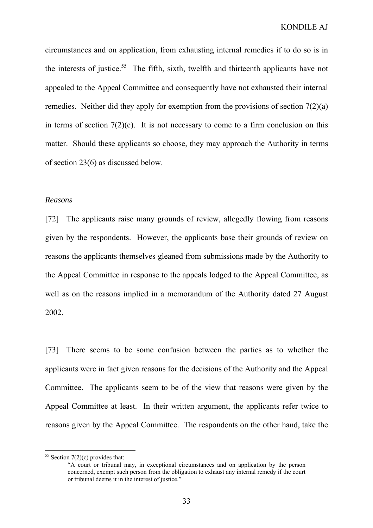circumstances and on application, from exhausting internal remedies if to do so is in the interests of justice.<sup>55</sup> The fifth, sixth, twelfth and thirteenth applicants have not appealed to the Appeal Committee and consequently have not exhausted their internal remedies. Neither did they apply for exemption from the provisions of section 7(2)(a) in terms of section  $7(2)(c)$ . It is not necessary to come to a firm conclusion on this matter. Should these applicants so choose, they may approach the Authority in terms of section 23(6) as discussed below.

#### *Reasons*

[72] The applicants raise many grounds of review, allegedly flowing from reasons given by the respondents. However, the applicants base their grounds of review on reasons the applicants themselves gleaned from submissions made by the Authority to the Appeal Committee in response to the appeals lodged to the Appeal Committee, as well as on the reasons implied in a memorandum of the Authority dated 27 August 2002.

[73] There seems to be some confusion between the parties as to whether the applicants were in fact given reasons for the decisions of the Authority and the Appeal Committee. The applicants seem to be of the view that reasons were given by the Appeal Committee at least. In their written argument, the applicants refer twice to reasons given by the Appeal Committee. The respondents on the other hand, take the

 $55$  Section 7(2)(c) provides that:

<sup>&</sup>quot;A court or tribunal may, in exceptional circumstances and on application by the person concerned, exempt such person from the obligation to exhaust any internal remedy if the court or tribunal deems it in the interest of justice."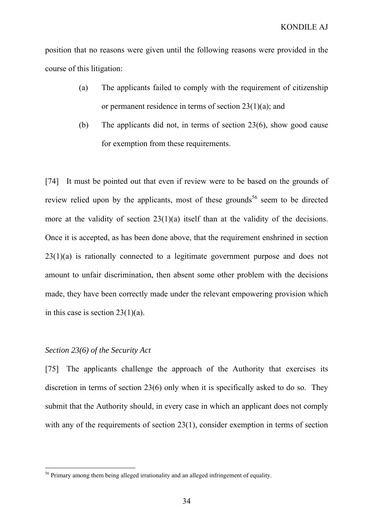position that no reasons were given until the following reasons were provided in the course of this litigation:

- (a) The applicants failed to comply with the requirement of citizenship or permanent residence in terms of section 23(1)(a); and
- (b) The applicants did not, in terms of section 23(6), show good cause for exemption from these requirements.

[74] It must be pointed out that even if review were to be based on the grounds of review relied upon by the applicants, most of these grounds<sup>56</sup> seem to be directed more at the validity of section 23(1)(a) itself than at the validity of the decisions. Once it is accepted, as has been done above, that the requirement enshrined in section 23(1)(a) is rationally connected to a legitimate government purpose and does not amount to unfair discrimination, then absent some other problem with the decisions made, they have been correctly made under the relevant empowering provision which in this case is section 23(1)(a).

#### *Section 23(6) of the Security Act*

 $\overline{a}$ 

[75] The applicants challenge the approach of the Authority that exercises its discretion in terms of section 23(6) only when it is specifically asked to do so. They submit that the Authority should, in every case in which an applicant does not comply with any of the requirements of section 23(1), consider exemption in terms of section

<sup>&</sup>lt;sup>56</sup> Primary among them being alleged irrationality and an alleged infringement of equality.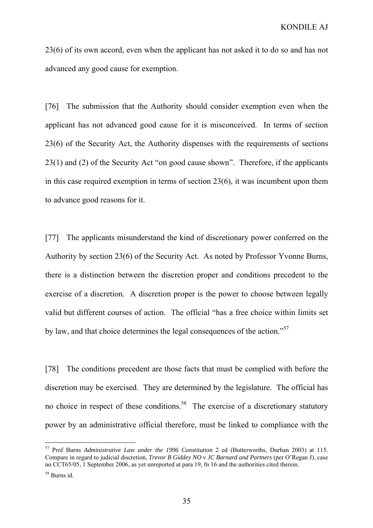23(6) of its own accord, even when the applicant has not asked it to do so and has not advanced any good cause for exemption.

[76] The submission that the Authority should consider exemption even when the applicant has not advanced good cause for it is misconceived. In terms of section 23(6) of the Security Act, the Authority dispenses with the requirements of sections 23(1) and (2) of the Security Act "on good cause shown". Therefore, if the applicants in this case required exemption in terms of section 23(6), it was incumbent upon them to advance good reasons for it.

[77] The applicants misunderstand the kind of discretionary power conferred on the Authority by section 23(6) of the Security Act. As noted by Professor Yvonne Burns, there is a distinction between the discretion proper and conditions precedent to the exercise of a discretion. A discretion proper is the power to choose between legally valid but different courses of action. The official "has a free choice within limits set by law, and that choice determines the legal consequences of the action."57

[78] The conditions precedent are those facts that must be complied with before the discretion may be exercised. They are determined by the legislature. The official has no choice in respect of these conditions.<sup>58</sup> The exercise of a discretionary statutory power by an administrative official therefore, must be linked to compliance with the

<sup>57</sup> Prof Burns *Administrative Law under the 1996 Constitution* 2 ed (Butterworths, Durban 2003) at 115. Compare in regard to judicial discretion, *Trevor B Giddey NO v JC Barnard and Partners* (per O'Regan J), case no CCT65/05, 1 September 2006, as yet unreported at para 19, fn 16 and the authorities cited therein.

<sup>58</sup> Burns id.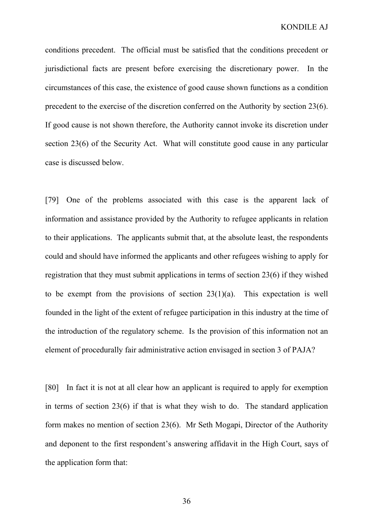conditions precedent. The official must be satisfied that the conditions precedent or jurisdictional facts are present before exercising the discretionary power. In the circumstances of this case, the existence of good cause shown functions as a condition precedent to the exercise of the discretion conferred on the Authority by section 23(6). If good cause is not shown therefore, the Authority cannot invoke its discretion under section 23(6) of the Security Act. What will constitute good cause in any particular case is discussed below.

[79] One of the problems associated with this case is the apparent lack of information and assistance provided by the Authority to refugee applicants in relation to their applications. The applicants submit that, at the absolute least, the respondents could and should have informed the applicants and other refugees wishing to apply for registration that they must submit applications in terms of section 23(6) if they wished to be exempt from the provisions of section  $23(1)(a)$ . This expectation is well founded in the light of the extent of refugee participation in this industry at the time of the introduction of the regulatory scheme. Is the provision of this information not an element of procedurally fair administrative action envisaged in section 3 of PAJA?

[80] In fact it is not at all clear how an applicant is required to apply for exemption in terms of section 23(6) if that is what they wish to do. The standard application form makes no mention of section 23(6). Mr Seth Mogapi, Director of the Authority and deponent to the first respondent's answering affidavit in the High Court, says of the application form that: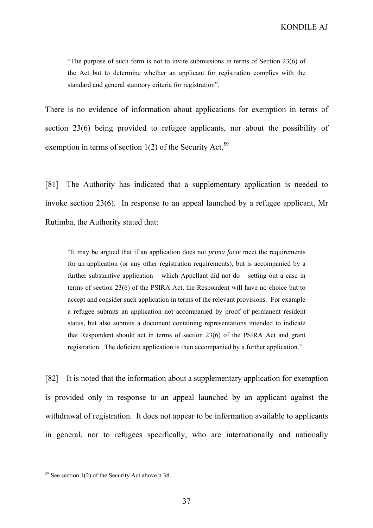KONDILE AJ

"The purpose of such form is not to invite submissions in terms of Section 23(6) of the Act but to determine whether an applicant for registration complies with the standard and general statutory criteria for registration".

There is no evidence of information about applications for exemption in terms of section 23(6) being provided to refugee applicants, nor about the possibility of exemption in terms of section  $1(2)$  of the Security Act.<sup>59</sup>

[81] The Authority has indicated that a supplementary application is needed to invoke section 23(6). In response to an appeal launched by a refugee applicant, Mr Rutimba, the Authority stated that:

"It may be argued that if an application does not *prima facie* meet the requirements for an application (or any other registration requirements), but is accompanied by a further substantive application – which Appellant did not do – setting out a case in terms of section 23(6) of the PSIRA Act, the Respondent will have no choice but to accept and consider such application in terms of the relevant provisions. For example a refugee submits an application not accompanied by proof of permanent resident status, but also submits a document containing representations intended to indicate that Respondent should act in terms of section 23(6) of the PSIRA Act and grant registration. The deficient application is then accompanied by a further application."

[82] It is noted that the information about a supplementary application for exemption is provided only in response to an appeal launched by an applicant against the withdrawal of registration. It does not appear to be information available to applicants in general, nor to refugees specifically, who are internationally and nationally

 $59$  See section 1(2) of the Security Act above n 38.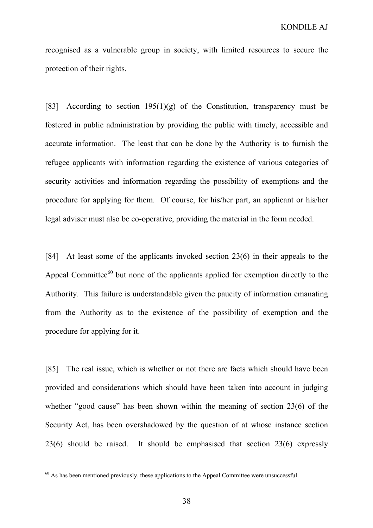recognised as a vulnerable group in society, with limited resources to secure the protection of their rights.

[83] According to section  $195(1)(g)$  of the Constitution, transparency must be fostered in public administration by providing the public with timely, accessible and accurate information. The least that can be done by the Authority is to furnish the refugee applicants with information regarding the existence of various categories of security activities and information regarding the possibility of exemptions and the procedure for applying for them. Of course, for his/her part, an applicant or his/her legal adviser must also be co-operative, providing the material in the form needed.

[84] At least some of the applicants invoked section 23(6) in their appeals to the Appeal Committee<sup>60</sup> but none of the applicants applied for exemption directly to the Authority. This failure is understandable given the paucity of information emanating from the Authority as to the existence of the possibility of exemption and the procedure for applying for it.

[85] The real issue, which is whether or not there are facts which should have been provided and considerations which should have been taken into account in judging whether "good cause" has been shown within the meaning of section 23(6) of the Security Act, has been overshadowed by the question of at whose instance section 23(6) should be raised. It should be emphasised that section 23(6) expressly

 $60$  As has been mentioned previously, these applications to the Appeal Committee were unsuccessful.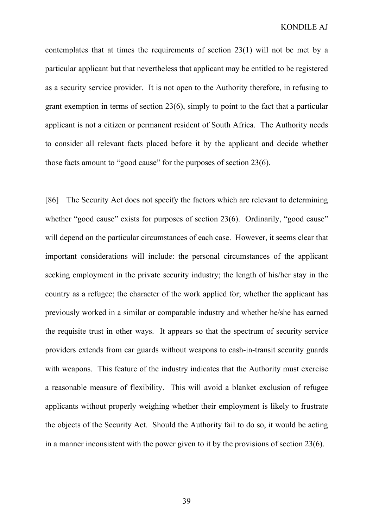contemplates that at times the requirements of section 23(1) will not be met by a particular applicant but that nevertheless that applicant may be entitled to be registered as a security service provider. It is not open to the Authority therefore, in refusing to grant exemption in terms of section 23(6), simply to point to the fact that a particular applicant is not a citizen or permanent resident of South Africa. The Authority needs to consider all relevant facts placed before it by the applicant and decide whether those facts amount to "good cause" for the purposes of section 23(6).

[86] The Security Act does not specify the factors which are relevant to determining whether "good cause" exists for purposes of section 23(6). Ordinarily, "good cause" will depend on the particular circumstances of each case. However, it seems clear that important considerations will include: the personal circumstances of the applicant seeking employment in the private security industry; the length of his/her stay in the country as a refugee; the character of the work applied for; whether the applicant has previously worked in a similar or comparable industry and whether he/she has earned the requisite trust in other ways. It appears so that the spectrum of security service providers extends from car guards without weapons to cash-in-transit security guards with weapons. This feature of the industry indicates that the Authority must exercise a reasonable measure of flexibility. This will avoid a blanket exclusion of refugee applicants without properly weighing whether their employment is likely to frustrate the objects of the Security Act. Should the Authority fail to do so, it would be acting in a manner inconsistent with the power given to it by the provisions of section 23(6).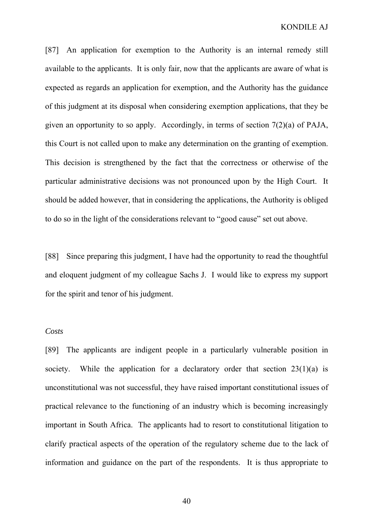[87] An application for exemption to the Authority is an internal remedy still available to the applicants. It is only fair, now that the applicants are aware of what is expected as regards an application for exemption, and the Authority has the guidance of this judgment at its disposal when considering exemption applications, that they be given an opportunity to so apply. Accordingly, in terms of section 7(2)(a) of PAJA, this Court is not called upon to make any determination on the granting of exemption. This decision is strengthened by the fact that the correctness or otherwise of the particular administrative decisions was not pronounced upon by the High Court. It should be added however, that in considering the applications, the Authority is obliged to do so in the light of the considerations relevant to "good cause" set out above.

[88] Since preparing this judgment, I have had the opportunity to read the thoughtful and eloquent judgment of my colleague Sachs J. I would like to express my support for the spirit and tenor of his judgment.

#### *Costs*

[89] The applicants are indigent people in a particularly vulnerable position in society. While the application for a declaratory order that section  $23(1)(a)$  is unconstitutional was not successful, they have raised important constitutional issues of practical relevance to the functioning of an industry which is becoming increasingly important in South Africa. The applicants had to resort to constitutional litigation to clarify practical aspects of the operation of the regulatory scheme due to the lack of information and guidance on the part of the respondents. It is thus appropriate to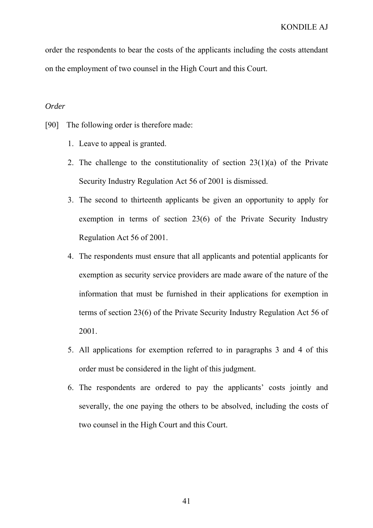order the respondents to bear the costs of the applicants including the costs attendant on the employment of two counsel in the High Court and this Court.

# *Order*

[90] The following order is therefore made:

- 1. Leave to appeal is granted.
- 2. The challenge to the constitutionality of section  $23(1)(a)$  of the Private Security Industry Regulation Act 56 of 2001 is dismissed.
- 3. The second to thirteenth applicants be given an opportunity to apply for exemption in terms of section 23(6) of the Private Security Industry Regulation Act 56 of 2001.
- 4. The respondents must ensure that all applicants and potential applicants for exemption as security service providers are made aware of the nature of the information that must be furnished in their applications for exemption in terms of section 23(6) of the Private Security Industry Regulation Act 56 of 2001.
- 5. All applications for exemption referred to in paragraphs 3 and 4 of this order must be considered in the light of this judgment.
- 6. The respondents are ordered to pay the applicants' costs jointly and severally, the one paying the others to be absolved, including the costs of two counsel in the High Court and this Court.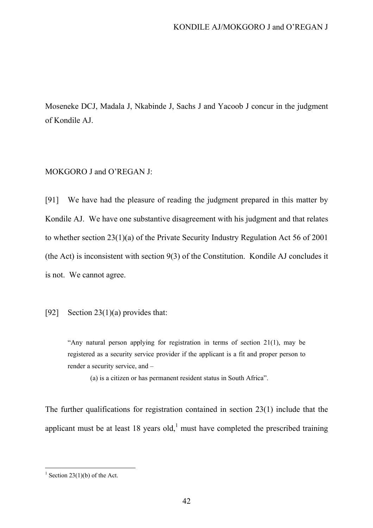Moseneke DCJ, Madala J, Nkabinde J, Sachs J and Yacoob J concur in the judgment of Kondile AJ.

## MOKGORO J and O'REGAN J:

[91] We have had the pleasure of reading the judgment prepared in this matter by Kondile AJ. We have one substantive disagreement with his judgment and that relates to whether section 23(1)(a) of the Private Security Industry Regulation Act 56 of 2001 (the Act) is inconsistent with section 9(3) of the Constitution. Kondile AJ concludes it is not. We cannot agree.

#### [92] Section 23(1)(a) provides that:

"Any natural person applying for registration in terms of section 21(1), may be registered as a security service provider if the applicant is a fit and proper person to render a security service, and –

(a) is a citizen or has permanent resident status in South Africa".

The further qualifications for registration contained in section 23(1) include that the applicant must be at least 18 years old,<sup>1</sup> must have completed the prescribed training

<sup>&</sup>lt;sup>1</sup> Section 23(1)(b) of the Act.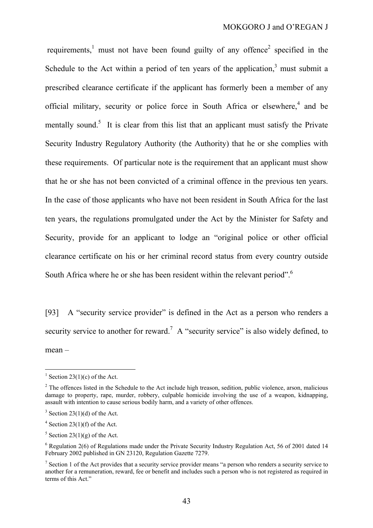requirements, $<sup>1</sup>$  must not have been found guilty of any offence<sup>2</sup> specified in the</sup> Schedule to the Act within a period of ten years of the application, $3$  must submit a prescribed clearance certificate if the applicant has formerly been a member of any official military, security or police force in South Africa or elsewhere,<sup>4</sup> and be mentally sound.<sup>5</sup> It is clear from this list that an applicant must satisfy the Private Security Industry Regulatory Authority (the Authority) that he or she complies with these requirements. Of particular note is the requirement that an applicant must show that he or she has not been convicted of a criminal offence in the previous ten years. In the case of those applicants who have not been resident in South Africa for the last ten years, the regulations promulgated under the Act by the Minister for Safety and Security, provide for an applicant to lodge an "original police or other official clearance certificate on his or her criminal record status from every country outside South Africa where he or she has been resident within the relevant period".<sup>6</sup>

[93] A "security service provider" is defined in the Act as a person who renders a security service to another for reward.<sup>7</sup> A "security service" is also widely defined, to mean –

<sup>&</sup>lt;sup>1</sup> Section 23(1)(c) of the Act.

 $2^2$  The offences listed in the Schedule to the Act include high treason, sedition, public violence, arson, malicious damage to property, rape, murder, robbery, culpable homicide involving the use of a weapon, kidnapping, assault with intention to cause serious bodily harm, and a variety of other offences.

 $3$  Section 23(1)(d) of the Act.

 $4$  Section 23(1)(f) of the Act.

 $5$  Section 23(1)(g) of the Act.

 $6$  Regulation 2(6) of Regulations made under the Private Security Industry Regulation Act, 56 of 2001 dated 14 February 2002 published in GN 23120, Regulation Gazette 7279.

<sup>&</sup>lt;sup>7</sup> Section 1 of the Act provides that a security service provider means "a person who renders a security service to another for a remuneration, reward, fee or benefit and includes such a person who is not registered as required in terms of this Act."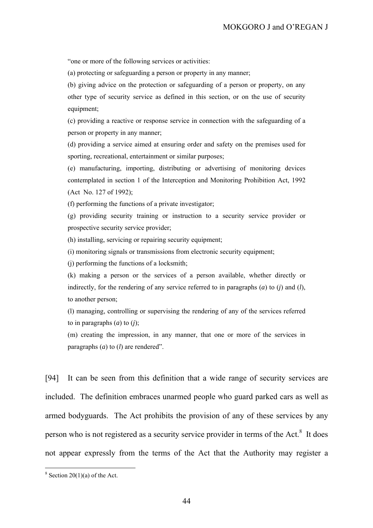"one or more of the following services or activities:

(a) protecting or safeguarding a person or property in any manner;

(b) giving advice on the protection or safeguarding of a person or property, on any other type of security service as defined in this section, or on the use of security equipment;

(c) providing a reactive or response service in connection with the safeguarding of a person or property in any manner;

(d) providing a service aimed at ensuring order and safety on the premises used for sporting, recreational, entertainment or similar purposes;

(e) manufacturing, importing, distributing or advertising of monitoring devices contemplated in section 1 of the Interception and Monitoring Prohibition Act, 1992 (Act No. 127 of 1992);

(f) performing the functions of a private investigator;

(g) providing security training or instruction to a security service provider or prospective security service provider;

(h) installing, servicing or repairing security equipment;

(i) monitoring signals or transmissions from electronic security equipment;

(j) performing the functions of a locksmith;

(k) making a person or the services of a person available, whether directly or indirectly, for the rendering of any service referred to in paragraphs (*a*) to (*j*) and (*l*), to another person;

(l) managing, controlling or supervising the rendering of any of the services referred to in paragraphs (*a*) to (*j*);

(m) creating the impression, in any manner, that one or more of the services in paragraphs (*a*) to (*l*) are rendered".

[94] It can be seen from this definition that a wide range of security services are included. The definition embraces unarmed people who guard parked cars as well as armed bodyguards. The Act prohibits the provision of any of these services by any person who is not registered as a security service provider in terms of the Act. $8$  It does not appear expressly from the terms of the Act that the Authority may register a

 $8$  Section 20(1)(a) of the Act.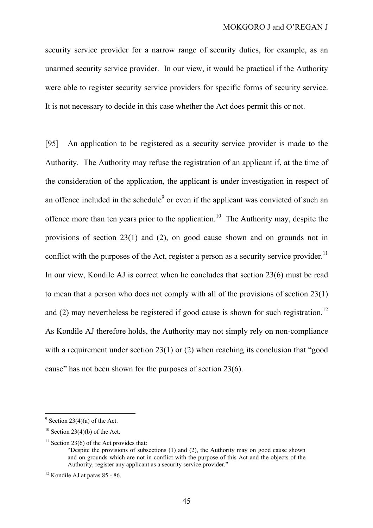security service provider for a narrow range of security duties, for example, as an unarmed security service provider. In our view, it would be practical if the Authority were able to register security service providers for specific forms of security service. It is not necessary to decide in this case whether the Act does permit this or not.

[95] An application to be registered as a security service provider is made to the Authority. The Authority may refuse the registration of an applicant if, at the time of the consideration of the application, the applicant is under investigation in respect of an offence included in the schedule<sup>9</sup> or even if the applicant was convicted of such an offence more than ten years prior to the application.<sup>10</sup> The Authority may, despite the provisions of section 23(1) and (2), on good cause shown and on grounds not in conflict with the purposes of the Act, register a person as a security service provider.<sup>11</sup> In our view, Kondile AJ is correct when he concludes that section 23(6) must be read to mean that a person who does not comply with all of the provisions of section 23(1) and (2) may nevertheless be registered if good cause is shown for such registration.<sup>12</sup> As Kondile AJ therefore holds, the Authority may not simply rely on non-compliance with a requirement under section 23(1) or (2) when reaching its conclusion that "good cause" has not been shown for the purposes of section 23(6).

 $9^9$  Section 23(4)(a) of the Act.

 $10$  Section 23(4)(b) of the Act.

<sup>&</sup>lt;sup>11</sup> Section 23(6) of the Act provides that: "Despite the provisions of subsections (1) and (2), the Authority may on good cause shown and on grounds which are not in conflict with the purpose of this Act and the objects of the Authority, register any applicant as a security service provider."

 $12$  Kondile AJ at paras 85 - 86.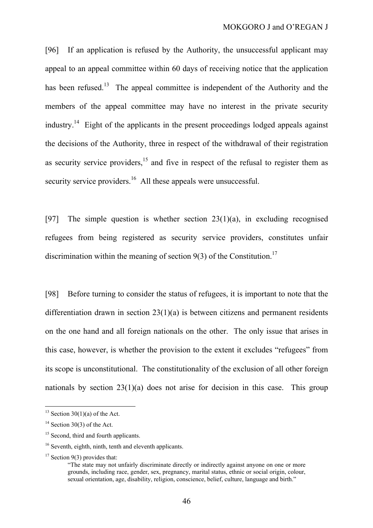[96] If an application is refused by the Authority, the unsuccessful applicant may appeal to an appeal committee within 60 days of receiving notice that the application has been refused.<sup>13</sup> The appeal committee is independent of the Authority and the members of the appeal committee may have no interest in the private security industry.14 Eight of the applicants in the present proceedings lodged appeals against the decisions of the Authority, three in respect of the withdrawal of their registration as security service providers,  $15$  and five in respect of the refusal to register them as security service providers.<sup>16</sup> All these appeals were unsuccessful.

[97] The simple question is whether section  $23(1)(a)$ , in excluding recognised refugees from being registered as security service providers, constitutes unfair discrimination within the meaning of section  $9(3)$  of the Constitution.<sup>17</sup>

[98] Before turning to consider the status of refugees, it is important to note that the differentiation drawn in section 23(1)(a) is between citizens and permanent residents on the one hand and all foreign nationals on the other. The only issue that arises in this case, however, is whether the provision to the extent it excludes "refugees" from its scope is unconstitutional. The constitutionality of the exclusion of all other foreign nationals by section 23(1)(a) does not arise for decision in this case. This group

 $13$  Section 30(1)(a) of the Act.

 $14$  Section 30(3) of the Act.

<sup>&</sup>lt;sup>15</sup> Second, third and fourth applicants.

<sup>&</sup>lt;sup>16</sup> Seventh, eighth, ninth, tenth and eleventh applicants.

 $17$  Section 9(3) provides that:

<sup>&</sup>quot;The state may not unfairly discriminate directly or indirectly against anyone on one or more grounds, including race, gender, sex, pregnancy, marital status, ethnic or social origin, colour, sexual orientation, age, disability, religion, conscience, belief, culture, language and birth."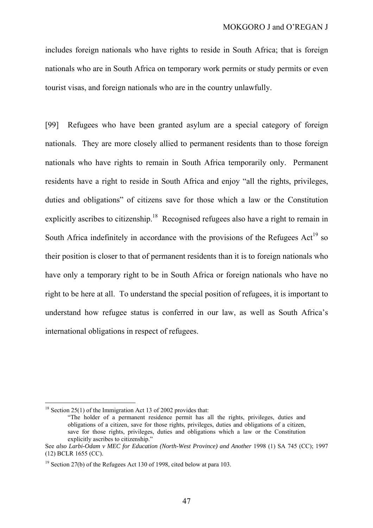includes foreign nationals who have rights to reside in South Africa; that is foreign nationals who are in South Africa on temporary work permits or study permits or even tourist visas, and foreign nationals who are in the country unlawfully.

[99] Refugees who have been granted asylum are a special category of foreign nationals. They are more closely allied to permanent residents than to those foreign nationals who have rights to remain in South Africa temporarily only. Permanent residents have a right to reside in South Africa and enjoy "all the rights, privileges, duties and obligations" of citizens save for those which a law or the Constitution explicitly ascribes to citizenship.<sup>18</sup> Recognised refugees also have a right to remain in South Africa indefinitely in accordance with the provisions of the Refugees  $Act^{19}$  so their position is closer to that of permanent residents than it is to foreign nationals who have only a temporary right to be in South Africa or foreign nationals who have no right to be here at all. To understand the special position of refugees, it is important to understand how refugee status is conferred in our law, as well as South Africa's international obligations in respect of refugees.

 $18$  Section 25(1) of the Immigration Act 13 of 2002 provides that:

<sup>&</sup>quot;The holder of a permanent residence permit has all the rights, privileges, duties and obligations of a citizen, save for those rights, privileges, duties and obligations of a citizen, save for those rights, privileges, duties and obligations which a law or the Constitution explicitly ascribes to citizenship."

See also Larbi-Odam v MEC for Education (North-West Province) and Another 1998 (1) SA 745 (CC); 1997 (12) BCLR 1655 (CC).

<sup>&</sup>lt;sup>19</sup> Section 27(b) of the Refugees Act 130 of 1998, cited below at para 103.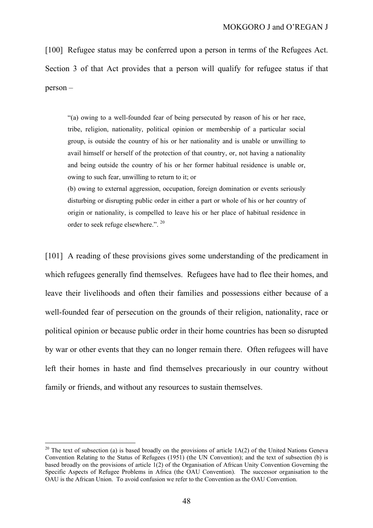[100] Refugee status may be conferred upon a person in terms of the Refugees Act. Section 3 of that Act provides that a person will qualify for refugee status if that person –

"(a) owing to a well-founded fear of being persecuted by reason of his or her race, tribe, religion, nationality, political opinion or membership of a particular social group, is outside the country of his or her nationality and is unable or unwilling to avail himself or herself of the protection of that country, or, not having a nationality and being outside the country of his or her former habitual residence is unable or, owing to such fear, unwilling to return to it; or

(b) owing to external aggression, occupation, foreign domination or events seriously disturbing or disrupting public order in either a part or whole of his or her country of origin or nationality, is compelled to leave his or her place of habitual residence in order to seek refuge elsewhere.". <sup>20</sup>

[101] A reading of these provisions gives some understanding of the predicament in which refugees generally find themselves. Refugees have had to flee their homes, and leave their livelihoods and often their families and possessions either because of a well-founded fear of persecution on the grounds of their religion, nationality, race or political opinion or because public order in their home countries has been so disrupted by war or other events that they can no longer remain there. Often refugees will have left their homes in haste and find themselves precariously in our country without family or friends, and without any resources to sustain themselves.

<sup>&</sup>lt;sup>20</sup> The text of subsection (a) is based broadly on the provisions of article  $1A(2)$  of the United Nations Geneva Convention Relating to the Status of Refugees (1951) (the UN Convention); and the text of subsection (b) is based broadly on the provisions of article 1(2) of the Organisation of African Unity Convention Governing the Specific Aspects of Refugee Problems in Africa (the OAU Convention). The successor organisation to the OAU is the African Union. To avoid confusion we refer to the Convention as the OAU Convention.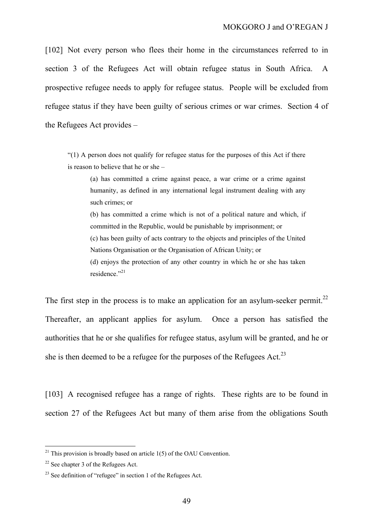[102] Not every person who flees their home in the circumstances referred to in section 3 of the Refugees Act will obtain refugee status in South Africa. A prospective refugee needs to apply for refugee status. People will be excluded from refugee status if they have been guilty of serious crimes or war crimes. Section 4 of the Refugees Act provides –

"(1) A person does not qualify for refugee status for the purposes of this Act if there is reason to believe that he or she –

(a) has committed a crime against peace, a war crime or a crime against humanity, as defined in any international legal instrument dealing with any such crimes; or (b) has committed a crime which is not of a political nature and which, if

committed in the Republic, would be punishable by imprisonment; or (c) has been guilty of acts contrary to the objects and principles of the United Nations Organisation or the Organisation of African Unity; or

(d) enjoys the protection of any other country in which he or she has taken residence."<sup>21</sup>

The first step in the process is to make an application for an asylum-seeker permit.<sup>22</sup> Thereafter, an applicant applies for asylum. Once a person has satisfied the authorities that he or she qualifies for refugee status, asylum will be granted, and he or she is then deemed to be a refugee for the purposes of the Refugees Act.<sup>23</sup>

[103] A recognised refugee has a range of rights. These rights are to be found in section 27 of the Refugees Act but many of them arise from the obligations South

<sup>&</sup>lt;sup>21</sup> This provision is broadly based on article  $1(5)$  of the OAU Convention.

 $22$  See chapter 3 of the Refugees Act.

 $23$  See definition of "refugee" in section 1 of the Refugees Act.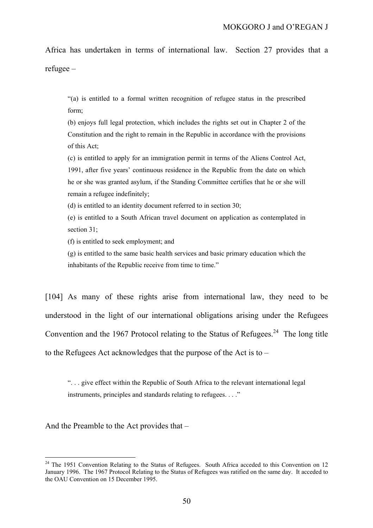Africa has undertaken in terms of international law. Section 27 provides that a refugee –

"(a) is entitled to a formal written recognition of refugee status in the prescribed form;

(b) enjoys full legal protection, which includes the rights set out in Chapter 2 of the Constitution and the right to remain in the Republic in accordance with the provisions of this Act;

(c) is entitled to apply for an immigration permit in terms of the Aliens Control Act, 1991, after five years' continuous residence in the Republic from the date on which he or she was granted asylum, if the Standing Committee certifies that he or she will remain a refugee indefinitely;

(d) is entitled to an identity document referred to in section 30;

(e) is entitled to a South African travel document on application as contemplated in section 31;

(f) is entitled to seek employment; and

(g) is entitled to the same basic health services and basic primary education which the inhabitants of the Republic receive from time to time."

[104] As many of these rights arise from international law, they need to be understood in the light of our international obligations arising under the Refugees Convention and the 1967 Protocol relating to the Status of Refugees.<sup>24</sup> The long title to the Refugees Act acknowledges that the purpose of the Act is to –

". . . give effect within the Republic of South Africa to the relevant international legal instruments, principles and standards relating to refugees. . . ."

And the Preamble to the Act provides that –

<sup>&</sup>lt;sup>24</sup> The 1951 Convention Relating to the Status of Refugees. South Africa acceded to this Convention on 12 January 1996. The 1967 Protocol Relating to the Status of Refugees was ratified on the same day. It acceded to the OAU Convention on 15 December 1995.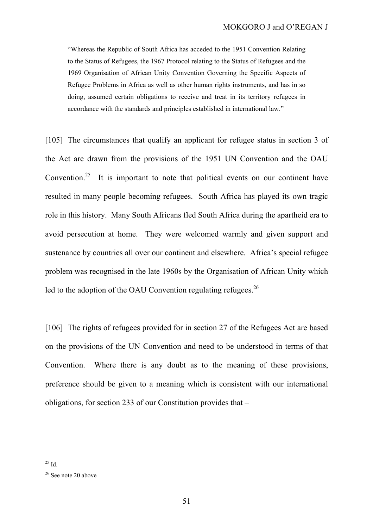"Whereas the Republic of South Africa has acceded to the 1951 Convention Relating to the Status of Refugees, the 1967 Protocol relating to the Status of Refugees and the 1969 Organisation of African Unity Convention Governing the Specific Aspects of Refugee Problems in Africa as well as other human rights instruments, and has in so doing, assumed certain obligations to receive and treat in its territory refugees in accordance with the standards and principles established in international law."

[105] The circumstances that qualify an applicant for refugee status in section 3 of the Act are drawn from the provisions of the 1951 UN Convention and the OAU Convention.<sup>25</sup> It is important to note that political events on our continent have resulted in many people becoming refugees. South Africa has played its own tragic role in this history. Many South Africans fled South Africa during the apartheid era to avoid persecution at home. They were welcomed warmly and given support and sustenance by countries all over our continent and elsewhere. Africa's special refugee problem was recognised in the late 1960s by the Organisation of African Unity which led to the adoption of the OAU Convention regulating refugees.<sup>26</sup>

[106] The rights of refugees provided for in section 27 of the Refugees Act are based on the provisions of the UN Convention and need to be understood in terms of that Convention. Where there is any doubt as to the meaning of these provisions, preference should be given to a meaning which is consistent with our international obligations, for section 233 of our Constitution provides that –

  $^{25}$  Id.

<sup>&</sup>lt;sup>26</sup> See note 20 above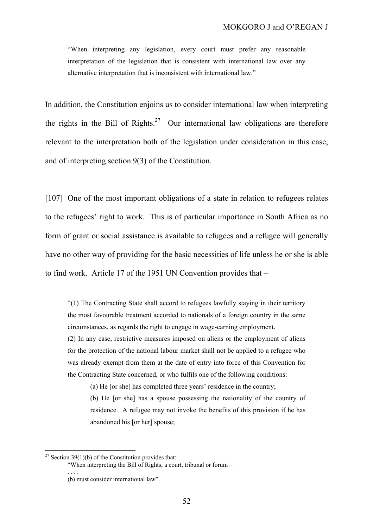"When interpreting any legislation, every court must prefer any reasonable interpretation of the legislation that is consistent with international law over any alternative interpretation that is inconsistent with international law."

In addition, the Constitution enjoins us to consider international law when interpreting the rights in the Bill of Rights.<sup>27</sup> Our international law obligations are therefore relevant to the interpretation both of the legislation under consideration in this case, and of interpreting section 9(3) of the Constitution.

[107] One of the most important obligations of a state in relation to refugees relates to the refugees' right to work. This is of particular importance in South Africa as no form of grant or social assistance is available to refugees and a refugee will generally have no other way of providing for the basic necessities of life unless he or she is able to find work. Article 17 of the 1951 UN Convention provides that –

"(1) The Contracting State shall accord to refugees lawfully staying in their territory the most favourable treatment accorded to nationals of a foreign country in the same circumstances, as regards the right to engage in wage-earning employment.

(2) In any case, restrictive measures imposed on aliens or the employment of aliens for the protection of the national labour market shall not be applied to a refugee who was already exempt from them at the date of entry into force of this Convention for the Contracting State concerned, or who fulfils one of the following conditions:

(a) He [or she] has completed three years' residence in the country;

(b) He [or she] has a spouse possessing the nationality of the country of residence. A refugee may not invoke the benefits of this provision if he has abandoned his [or her] spouse;

 $\overline{a}$ 

. . . .

<sup>&</sup>lt;sup>27</sup> Section 39(1)(b) of the Constitution provides that:

<sup>&</sup>quot;When interpreting the Bill of Rights, a court, tribunal or forum –

<sup>(</sup>b) must consider international law".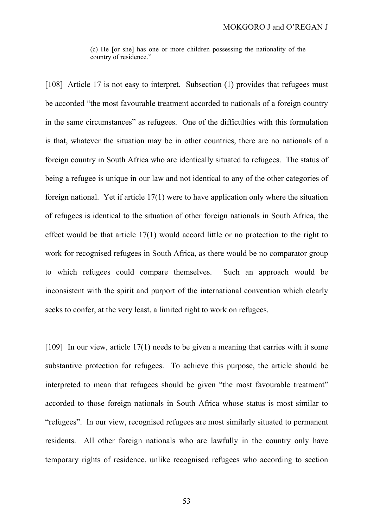(c) He [or she] has one or more children possessing the nationality of the country of residence."

[108] Article 17 is not easy to interpret. Subsection (1) provides that refugees must be accorded "the most favourable treatment accorded to nationals of a foreign country in the same circumstances" as refugees. One of the difficulties with this formulation is that, whatever the situation may be in other countries, there are no nationals of a foreign country in South Africa who are identically situated to refugees. The status of being a refugee is unique in our law and not identical to any of the other categories of foreign national. Yet if article 17(1) were to have application only where the situation of refugees is identical to the situation of other foreign nationals in South Africa, the effect would be that article 17(1) would accord little or no protection to the right to work for recognised refugees in South Africa, as there would be no comparator group to which refugees could compare themselves. Such an approach would be inconsistent with the spirit and purport of the international convention which clearly seeks to confer, at the very least, a limited right to work on refugees.

[109] In our view, article 17(1) needs to be given a meaning that carries with it some substantive protection for refugees. To achieve this purpose, the article should be interpreted to mean that refugees should be given "the most favourable treatment" accorded to those foreign nationals in South Africa whose status is most similar to "refugees". In our view, recognised refugees are most similarly situated to permanent residents. All other foreign nationals who are lawfully in the country only have temporary rights of residence, unlike recognised refugees who according to section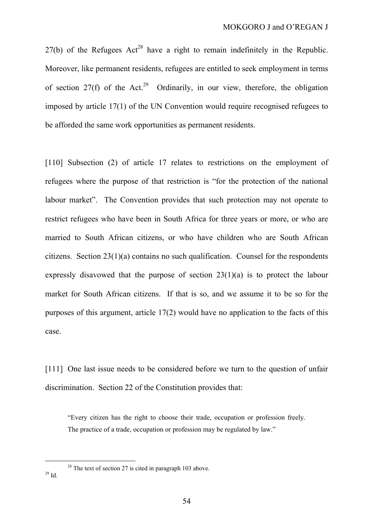$27(b)$  of the Refugees Act<sup>28</sup> have a right to remain indefinitely in the Republic. Moreover, like permanent residents, refugees are entitled to seek employment in terms of section 27(f) of the Act.<sup>29</sup> Ordinarily, in our view, therefore, the obligation imposed by article 17(1) of the UN Convention would require recognised refugees to be afforded the same work opportunities as permanent residents.

[110] Subsection (2) of article 17 relates to restrictions on the employment of refugees where the purpose of that restriction is "for the protection of the national labour market". The Convention provides that such protection may not operate to restrict refugees who have been in South Africa for three years or more, or who are married to South African citizens, or who have children who are South African citizens. Section 23(1)(a) contains no such qualification. Counsel for the respondents expressly disavowed that the purpose of section 23(1)(a) is to protect the labour market for South African citizens. If that is so, and we assume it to be so for the purposes of this argument, article 17(2) would have no application to the facts of this case.

[111] One last issue needs to be considered before we turn to the question of unfair discrimination. Section 22 of the Constitution provides that:

"Every citizen has the right to choose their trade, occupation or profession freely. The practice of a trade, occupation or profession may be regulated by law."

<sup>28</sup> The text of section 27 is cited in paragraph 103 above.<br><sup>29</sup> Id.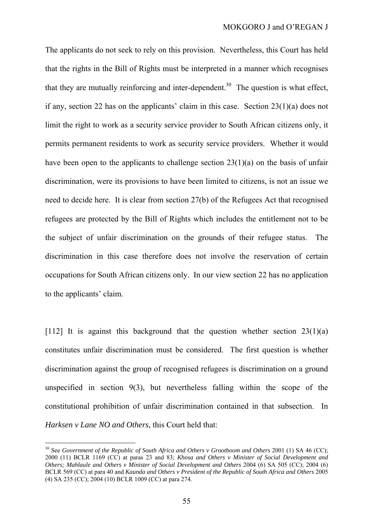The applicants do not seek to rely on this provision. Nevertheless, this Court has held that the rights in the Bill of Rights must be interpreted in a manner which recognises that they are mutually reinforcing and inter-dependent.<sup>30</sup> The question is what effect, if any, section 22 has on the applicants' claim in this case. Section 23(1)(a) does not limit the right to work as a security service provider to South African citizens only, it permits permanent residents to work as security service providers. Whether it would have been open to the applicants to challenge section 23(1)(a) on the basis of unfair discrimination, were its provisions to have been limited to citizens, is not an issue we need to decide here. It is clear from section 27(b) of the Refugees Act that recognised refugees are protected by the Bill of Rights which includes the entitlement not to be the subject of unfair discrimination on the grounds of their refugee status. The discrimination in this case therefore does not involve the reservation of certain occupations for South African citizens only. In our view section 22 has no application to the applicants' claim.

[112] It is against this background that the question whether section 23(1)(a) constitutes unfair discrimination must be considered. The first question is whether discrimination against the group of recognised refugees is discrimination on a ground unspecified in section 9(3), but nevertheless falling within the scope of the constitutional prohibition of unfair discrimination contained in that subsection. In *Harksen v Lane NO and Others*, this Court held that:

<sup>30</sup> See *Government of the Republic of South Africa and Others v Grootboom and Others* 2001 (1) SA 46 (CC); 2000 (11) BCLR 1169 (CC) at paras 23 and 83; *Khosa and Others v Minister of Social Development and Others; Mahlaule and Others v Minister of Social Development and Others* 2004 (6) SA 505 (CC); 2004 (6) BCLR 569 (CC) at para 40 and *Kaunda and Others v President of the Republic of South Africa and Others* 2005 (4) SA 235 (CC); 2004 (10) BCLR 1009 (CC) at para 274.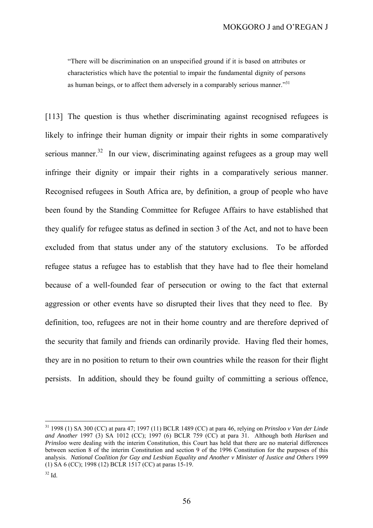"There will be discrimination on an unspecified ground if it is based on attributes or characteristics which have the potential to impair the fundamental dignity of persons as human beings, or to affect them adversely in a comparably serious manner."<sup>31</sup>

[113] The question is thus whether discriminating against recognised refugees is likely to infringe their human dignity or impair their rights in some comparatively serious manner.<sup>32</sup> In our view, discriminating against refugees as a group may well infringe their dignity or impair their rights in a comparatively serious manner. Recognised refugees in South Africa are, by definition, a group of people who have been found by the Standing Committee for Refugee Affairs to have established that they qualify for refugee status as defined in section 3 of the Act, and not to have been excluded from that status under any of the statutory exclusions. To be afforded refugee status a refugee has to establish that they have had to flee their homeland because of a well-founded fear of persecution or owing to the fact that external aggression or other events have so disrupted their lives that they need to flee. By definition, too, refugees are not in their home country and are therefore deprived of the security that family and friends can ordinarily provide. Having fled their homes, they are in no position to return to their own countries while the reason for their flight persists. In addition, should they be found guilty of committing a serious offence,

<sup>31 1998</sup> (1) SA 300 (CC) at para 47; 1997 (11) BCLR 1489 (CC) at para 46, relying on *Prinsloo v Van der Linde and Another* 1997 (3) SA 1012 (CC); 1997 (6) BCLR 759 (CC) at para 31. Although both *Harksen* and *Prinsloo* were dealing with the interim Constitution, this Court has held that there are no material differences between section 8 of the interim Constitution and section 9 of the 1996 Constitution for the purposes of this analysis. *National Coalition for Gay and Lesbian Equality and Another v Minister of Justice and Others* 1999 (1) SA 6 (CC); 1998 (12) BCLR 1517 (CC) at paras 15-19.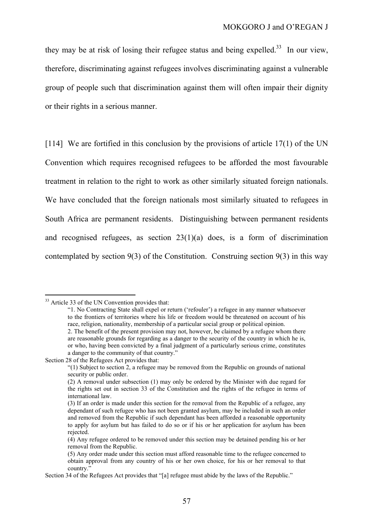they may be at risk of losing their refugee status and being expelled.<sup>33</sup> In our view, therefore, discriminating against refugees involves discriminating against a vulnerable group of people such that discrimination against them will often impair their dignity or their rights in a serious manner.

[114] We are fortified in this conclusion by the provisions of article 17(1) of the UN Convention which requires recognised refugees to be afforded the most favourable treatment in relation to the right to work as other similarly situated foreign nationals. We have concluded that the foreign nationals most similarly situated to refugees in South Africa are permanent residents. Distinguishing between permanent residents and recognised refugees, as section  $23(1)(a)$  does, is a form of discrimination contemplated by section  $9(3)$  of the Constitution. Construing section  $9(3)$  in this way

<sup>&</sup>lt;sup>33</sup> Article 33 of the UN Convention provides that:

<sup>&</sup>quot;1. No Contracting State shall expel or return ('refouler') a refugee in any manner whatsoever to the frontiers of territories where his life or freedom would be threatened on account of his race, religion, nationality, membership of a particular social group or political opinion. 2. The benefit of the present provision may not, however, be claimed by a refugee whom there

are reasonable grounds for regarding as a danger to the security of the country in which he is, or who, having been convicted by a final judgment of a particularly serious crime, constitutes a danger to the community of that country."

Section 28 of the Refugees Act provides that:

<sup>&</sup>quot;(1) Subject to section 2, a refugee may be removed from the Republic on grounds of national security or public order.

<sup>(2)</sup> A removal under subsection (1) may only be ordered by the Minister with due regard for the rights set out in section 33 of the Constitution and the rights of the refugee in terms of international law.

<sup>(3)</sup> If an order is made under this section for the removal from the Republic of a refugee, any dependant of such refugee who has not been granted asylum, may be included in such an order and removed from the Republic if such dependant has been afforded a reasonable opportunity to apply for asylum but has failed to do so or if his or her application for asylum has been rejected.

<sup>(4)</sup> Any refugee ordered to be removed under this section may be detained pending his or her removal from the Republic.

<sup>(5)</sup> Any order made under this section must afford reasonable time to the refugee concerned to obtain approval from any country of his or her own choice, for his or her removal to that country."

Section 34 of the Refugees Act provides that "[a] refugee must abide by the laws of the Republic."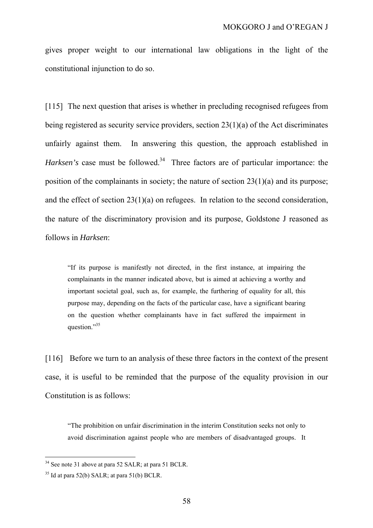gives proper weight to our international law obligations in the light of the constitutional injunction to do so.

[115] The next question that arises is whether in precluding recognised refugees from being registered as security service providers, section 23(1)(a) of the Act discriminates unfairly against them. In answering this question, the approach established in *Harksen's* case must be followed.<sup>34</sup> Three factors are of particular importance: the position of the complainants in society; the nature of section 23(1)(a) and its purpose; and the effect of section 23(1)(a) on refugees. In relation to the second consideration, the nature of the discriminatory provision and its purpose, Goldstone J reasoned as follows in *Harksen*:

"If its purpose is manifestly not directed, in the first instance, at impairing the complainants in the manner indicated above, but is aimed at achieving a worthy and important societal goal, such as, for example, the furthering of equality for all, this purpose may, depending on the facts of the particular case, have a significant bearing on the question whether complainants have in fact suffered the impairment in question."<sup>35</sup>

[116] Before we turn to an analysis of these three factors in the context of the present case, it is useful to be reminded that the purpose of the equality provision in our Constitution is as follows:

"The prohibition on unfair discrimination in the interim Constitution seeks not only to avoid discrimination against people who are members of disadvantaged groups. It

 $34$  See note 31 above at para 52 SALR; at para 51 BCLR.

 $35$  Id at para 52(b) SALR; at para 51(b) BCLR.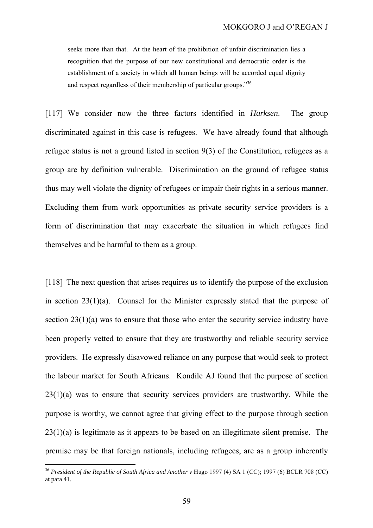seeks more than that. At the heart of the prohibition of unfair discrimination lies a recognition that the purpose of our new constitutional and democratic order is the establishment of a society in which all human beings will be accorded equal dignity and respect regardless of their membership of particular groups."36

[117] We consider now the three factors identified in *Harksen*. The group discriminated against in this case is refugees. We have already found that although refugee status is not a ground listed in section 9(3) of the Constitution, refugees as a group are by definition vulnerable. Discrimination on the ground of refugee status thus may well violate the dignity of refugees or impair their rights in a serious manner. Excluding them from work opportunities as private security service providers is a form of discrimination that may exacerbate the situation in which refugees find themselves and be harmful to them as a group.

[118] The next question that arises requires us to identify the purpose of the exclusion in section 23(1)(a). Counsel for the Minister expressly stated that the purpose of section 23(1)(a) was to ensure that those who enter the security service industry have been properly vetted to ensure that they are trustworthy and reliable security service providers. He expressly disavowed reliance on any purpose that would seek to protect the labour market for South Africans. Kondile AJ found that the purpose of section 23(1)(a) was to ensure that security services providers are trustworthy. While the purpose is worthy, we cannot agree that giving effect to the purpose through section  $23(1)(a)$  is legitimate as it appears to be based on an illegitimate silent premise. The premise may be that foreign nationals, including refugees, are as a group inherently

<sup>36</sup> *President of the Republic of South Africa and Another v* Hugo 1997 (4) SA 1 (CC); 1997 (6) BCLR 708 (CC) at para 41.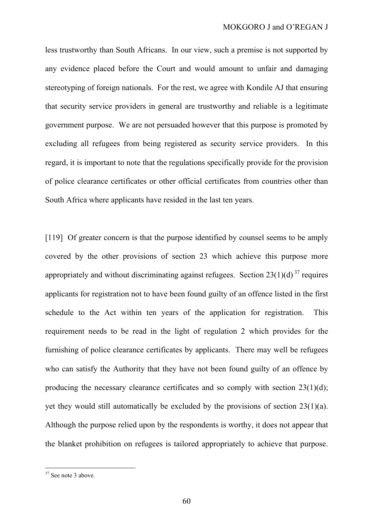less trustworthy than South Africans. In our view, such a premise is not supported by any evidence placed before the Court and would amount to unfair and damaging stereotyping of foreign nationals. For the rest, we agree with Kondile AJ that ensuring that security service providers in general are trustworthy and reliable is a legitimate government purpose. We are not persuaded however that this purpose is promoted by excluding all refugees from being registered as security service providers. In this regard, it is important to note that the regulations specifically provide for the provision of police clearance certificates or other official certificates from countries other than South Africa where applicants have resided in the last ten years.

[119] Of greater concern is that the purpose identified by counsel seems to be amply covered by the other provisions of section 23 which achieve this purpose more appropriately and without discriminating against refugees. Section  $23(1)(d)^{37}$  requires applicants for registration not to have been found guilty of an offence listed in the first schedule to the Act within ten years of the application for registration. This requirement needs to be read in the light of regulation 2 which provides for the furnishing of police clearance certificates by applicants. There may well be refugees who can satisfy the Authority that they have not been found guilty of an offence by producing the necessary clearance certificates and so comply with section 23(1)(d); yet they would still automatically be excluded by the provisions of section 23(1)(a). Although the purpose relied upon by the respondents is worthy, it does not appear that the blanket prohibition on refugees is tailored appropriately to achieve that purpose.

<sup>&</sup>lt;sup>37</sup> See note 3 above.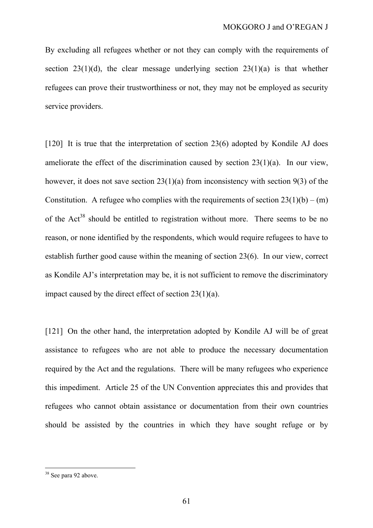By excluding all refugees whether or not they can comply with the requirements of section  $23(1)(d)$ , the clear message underlying section  $23(1)(a)$  is that whether refugees can prove their trustworthiness or not, they may not be employed as security service providers.

[120] It is true that the interpretation of section 23(6) adopted by Kondile AJ does ameliorate the effect of the discrimination caused by section 23(1)(a). In our view, however, it does not save section 23(1)(a) from inconsistency with section 9(3) of the Constitution. A refugee who complies with the requirements of section  $23(1)(b) - (m)$ of the  $Act^{38}$  should be entitled to registration without more. There seems to be no reason, or none identified by the respondents, which would require refugees to have to establish further good cause within the meaning of section 23(6). In our view, correct as Kondile AJ's interpretation may be, it is not sufficient to remove the discriminatory impact caused by the direct effect of section 23(1)(a).

[121] On the other hand, the interpretation adopted by Kondile AJ will be of great assistance to refugees who are not able to produce the necessary documentation required by the Act and the regulations. There will be many refugees who experience this impediment. Article 25 of the UN Convention appreciates this and provides that refugees who cannot obtain assistance or documentation from their own countries should be assisted by the countries in which they have sought refuge or by

<sup>&</sup>lt;sup>38</sup> See para 92 above.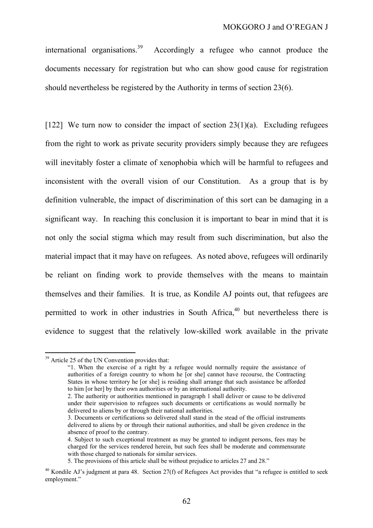international organisations.<sup>39</sup> Accordingly a refugee who cannot produce the documents necessary for registration but who can show good cause for registration should nevertheless be registered by the Authority in terms of section 23(6).

[122] We turn now to consider the impact of section  $23(1)(a)$ . Excluding refugees from the right to work as private security providers simply because they are refugees will inevitably foster a climate of xenophobia which will be harmful to refugees and inconsistent with the overall vision of our Constitution. As a group that is by definition vulnerable, the impact of discrimination of this sort can be damaging in a significant way. In reaching this conclusion it is important to bear in mind that it is not only the social stigma which may result from such discrimination, but also the material impact that it may have on refugees. As noted above, refugees will ordinarily be reliant on finding work to provide themselves with the means to maintain themselves and their families. It is true, as Kondile AJ points out, that refugees are permitted to work in other industries in South Africa,  $40$  but nevertheless there is evidence to suggest that the relatively low-skilled work available in the private

<sup>&</sup>lt;sup>39</sup> Article 25 of the UN Convention provides that:

<sup>&</sup>quot;1. When the exercise of a right by a refugee would normally require the assistance of authorities of a foreign country to whom he [or she] cannot have recourse, the Contracting States in whose territory he [or she] is residing shall arrange that such assistance be afforded to him [or her] by their own authorities or by an international authority.

<sup>2.</sup> The authority or authorities mentioned in paragraph 1 shall deliver or cause to be delivered under their supervision to refugees such documents or certifications as would normally be delivered to aliens by or through their national authorities.

<sup>3.</sup> Documents or certifications so delivered shall stand in the stead of the official instruments delivered to aliens by or through their national authorities, and shall be given credence in the absence of proof to the contrary.

<sup>4.</sup> Subject to such exceptional treatment as may be granted to indigent persons, fees may be charged for the services rendered herein, but such fees shall be moderate and commensurate with those charged to nationals for similar services.

<sup>5.</sup> The provisions of this article shall be without prejudice to articles 27 and 28."

 $40$  Kondile AJ's judgment at para 48. Section 27(f) of Refugees Act provides that "a refugee is entitled to seek employment."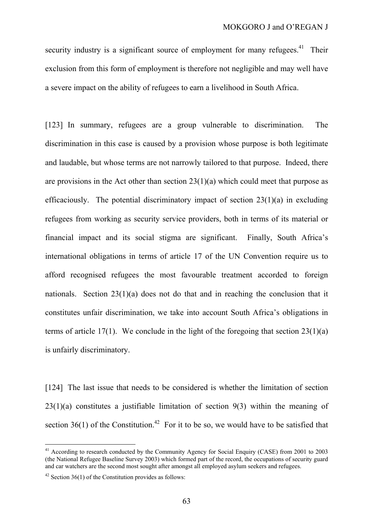security industry is a significant source of employment for many refugees.<sup>41</sup> Their exclusion from this form of employment is therefore not negligible and may well have a severe impact on the ability of refugees to earn a livelihood in South Africa.

[123] In summary, refugees are a group vulnerable to discrimination. The discrimination in this case is caused by a provision whose purpose is both legitimate and laudable, but whose terms are not narrowly tailored to that purpose. Indeed, there are provisions in the Act other than section  $23(1)(a)$  which could meet that purpose as efficaciously. The potential discriminatory impact of section  $23(1)(a)$  in excluding refugees from working as security service providers, both in terms of its material or financial impact and its social stigma are significant. Finally, South Africa's international obligations in terms of article 17 of the UN Convention require us to afford recognised refugees the most favourable treatment accorded to foreign nationals. Section 23(1)(a) does not do that and in reaching the conclusion that it constitutes unfair discrimination, we take into account South Africa's obligations in terms of article 17(1). We conclude in the light of the foregoing that section  $23(1)(a)$ is unfairly discriminatory.

[124] The last issue that needs to be considered is whether the limitation of section  $23(1)(a)$  constitutes a justifiable limitation of section  $9(3)$  within the meaning of section 36(1) of the Constitution.<sup>42</sup> For it to be so, we would have to be satisfied that

<sup>&</sup>lt;sup>41</sup> According to research conducted by the Community Agency for Social Enquiry (CASE) from 2001 to 2003 (the National Refugee Baseline Survey 2003) which formed part of the record, the occupations of security guard and car watchers are the second most sought after amongst all employed asylum seekers and refugees.

 $42$  Section 36(1) of the Constitution provides as follows: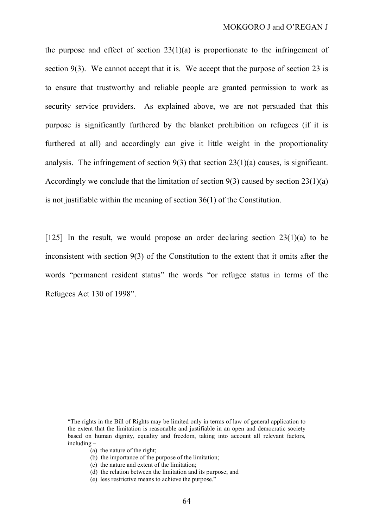the purpose and effect of section  $23(1)(a)$  is proportionate to the infringement of section 9(3). We cannot accept that it is. We accept that the purpose of section 23 is to ensure that trustworthy and reliable people are granted permission to work as security service providers. As explained above, we are not persuaded that this purpose is significantly furthered by the blanket prohibition on refugees (if it is furthered at all) and accordingly can give it little weight in the proportionality analysis. The infringement of section 9(3) that section 23(1)(a) causes, is significant. Accordingly we conclude that the limitation of section  $9(3)$  caused by section  $23(1)(a)$ is not justifiable within the meaning of section 36(1) of the Constitution.

[125] In the result, we would propose an order declaring section 23(1)(a) to be inconsistent with section 9(3) of the Constitution to the extent that it omits after the words "permanent resident status" the words "or refugee status in terms of the Refugees Act 130 of 1998".

<sup>&</sup>quot;The rights in the Bill of Rights may be limited only in terms of law of general application to the extent that the limitation is reasonable and justifiable in an open and democratic society based on human dignity, equality and freedom, taking into account all relevant factors, including –

<sup>(</sup>a) the nature of the right;

<sup>(</sup>b) the importance of the purpose of the limitation;

<sup>(</sup>c) the nature and extent of the limitation;

<sup>(</sup>d) the relation between the limitation and its purpose; and

<sup>(</sup>e) less restrictive means to achieve the purpose."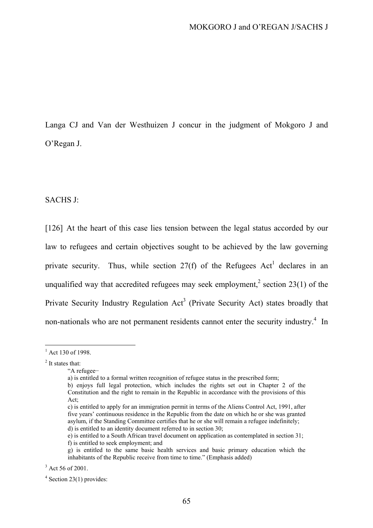Langa CJ and Van der Westhuizen J concur in the judgment of Mokgoro J and O'Regan J.

SACHS J:

[126] At the heart of this case lies tension between the legal status accorded by our law to refugees and certain objectives sought to be achieved by the law governing private security. Thus, while section  $27(f)$  of the Refugees Act<sup>1</sup> declares in an unqualified way that accredited refugees may seek employment,<sup>2</sup> section 23(1) of the Private Security Industry Regulation  $Act^3$  (Private Security Act) states broadly that non-nationals who are not permanent residents cannot enter the security industry.<sup>4</sup> In

 $1$  Act 130 of 1998.

<sup>&</sup>lt;sup>2</sup> It states that:

<sup>&</sup>quot;A refugee−

a) is entitled to a formal written recognition of refugee status in the prescribed form;

b) enjoys full legal protection, which includes the rights set out in Chapter 2 of the Constitution and the right to remain in the Republic in accordance with the provisions of this Act;

c) is entitled to apply for an immigration permit in terms of the Aliens Control Act, 1991, after five years' continuous residence in the Republic from the date on which he or she was granted asylum, if the Standing Committee certifies that he or she will remain a refugee indefinitely; d) is entitled to an identity document referred to in section 30;

e) is entitled to a South African travel document on application as contemplated in section 31;

f) is entitled to seek employment; and

g) is entitled to the same basic health services and basic primary education which the inhabitants of the Republic receive from time to time." (Emphasis added)

 $3$  Act 56 of 2001.

 $4$  Section 23(1) provides: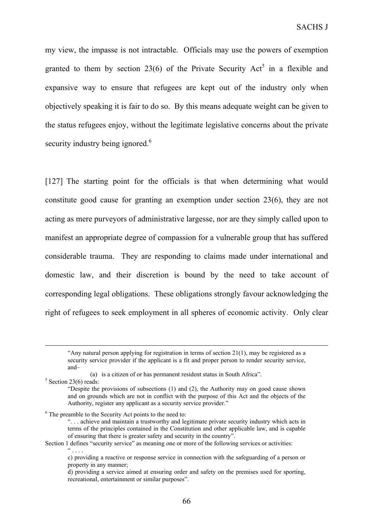my view, the impasse is not intractable. Officials may use the powers of exemption granted to them by section 23(6) of the Private Security Act<sup>5</sup> in a flexible and expansive way to ensure that refugees are kept out of the industry only when objectively speaking it is fair to do so. By this means adequate weight can be given to the status refugees enjoy, without the legitimate legislative concerns about the private security industry being ignored.<sup>6</sup>

[127] The starting point for the officials is that when determining what would constitute good cause for granting an exemption under section 23(6), they are not acting as mere purveyors of administrative largesse, nor are they simply called upon to manifest an appropriate degree of compassion for a vulnerable group that has suffered considerable trauma. They are responding to claims made under international and domestic law, and their discretion is bound by the need to take account of corresponding legal obligations. These obligations strongly favour acknowledging the right of refugees to seek employment in all spheres of economic activity. Only clear

<sup>&</sup>quot;Any natural person applying for registration in terms of section  $21(1)$ , may be registered as a security service provider if the applicant is a fit and proper person to render security service, and–

<sup>(</sup>a) is a citizen of or has permanent resident status in South Africa".

 $5$  Section 23(6) reads:

<sup>&</sup>quot;Despite the provisions of subsections (1) and (2), the Authority may on good cause shown and on grounds which are not in conflict with the purpose of this Act and the objects of the Authority, register any applicant as a security service provider."

<sup>6</sup> The preamble to the Security Act points to the need to:

<sup>&</sup>quot;. . . achieve and maintain a trustworthy and legitimate private security industry which acts in terms of the principles contained in the Constitution and other applicable law, and is capable of ensuring that there is greater safety and security in the country".

Section 1 defines "security service" as meaning one or more of the following services or activities:  $\frac{a}{\cdot}$  . . . .

c) providing a reactive or response service in connection with the safeguarding of a person or property in any manner;

d) providing a service aimed at ensuring order and safety on the premises used for sporting, recreational, entertainment or similar purposes".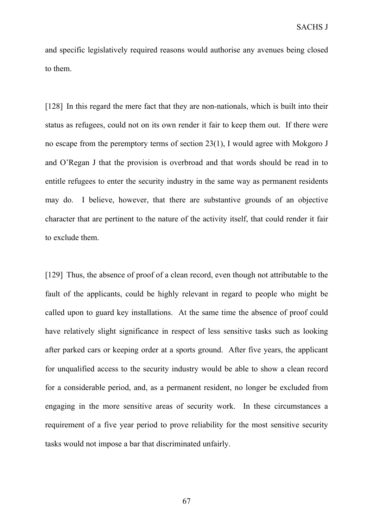and specific legislatively required reasons would authorise any avenues being closed to them.

[128] In this regard the mere fact that they are non-nationals, which is built into their status as refugees, could not on its own render it fair to keep them out. If there were no escape from the peremptory terms of section 23(1), I would agree with Mokgoro J and O'Regan J that the provision is overbroad and that words should be read in to entitle refugees to enter the security industry in the same way as permanent residents may do. I believe, however, that there are substantive grounds of an objective character that are pertinent to the nature of the activity itself, that could render it fair to exclude them.

[129] Thus, the absence of proof of a clean record, even though not attributable to the fault of the applicants, could be highly relevant in regard to people who might be called upon to guard key installations. At the same time the absence of proof could have relatively slight significance in respect of less sensitive tasks such as looking after parked cars or keeping order at a sports ground. After five years, the applicant for unqualified access to the security industry would be able to show a clean record for a considerable period, and, as a permanent resident, no longer be excluded from engaging in the more sensitive areas of security work. In these circumstances a requirement of a five year period to prove reliability for the most sensitive security tasks would not impose a bar that discriminated unfairly.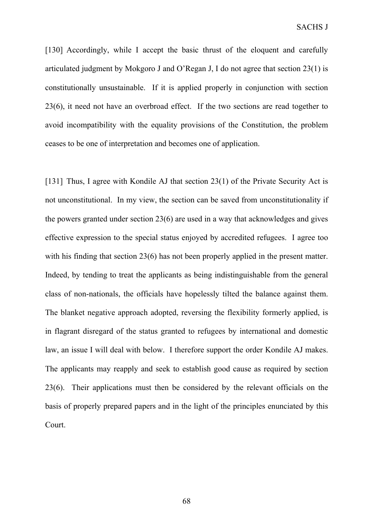[130] Accordingly, while I accept the basic thrust of the eloquent and carefully articulated judgment by Mokgoro J and O'Regan J, I do not agree that section 23(1) is constitutionally unsustainable. If it is applied properly in conjunction with section 23(6), it need not have an overbroad effect. If the two sections are read together to avoid incompatibility with the equality provisions of the Constitution, the problem ceases to be one of interpretation and becomes one of application.

[131] Thus, I agree with Kondile AJ that section 23(1) of the Private Security Act is not unconstitutional. In my view, the section can be saved from unconstitutionality if the powers granted under section 23(6) are used in a way that acknowledges and gives effective expression to the special status enjoyed by accredited refugees. I agree too with his finding that section 23(6) has not been properly applied in the present matter. Indeed, by tending to treat the applicants as being indistinguishable from the general class of non-nationals, the officials have hopelessly tilted the balance against them. The blanket negative approach adopted, reversing the flexibility formerly applied, is in flagrant disregard of the status granted to refugees by international and domestic law, an issue I will deal with below. I therefore support the order Kondile AJ makes. The applicants may reapply and seek to establish good cause as required by section 23(6). Their applications must then be considered by the relevant officials on the basis of properly prepared papers and in the light of the principles enunciated by this Court.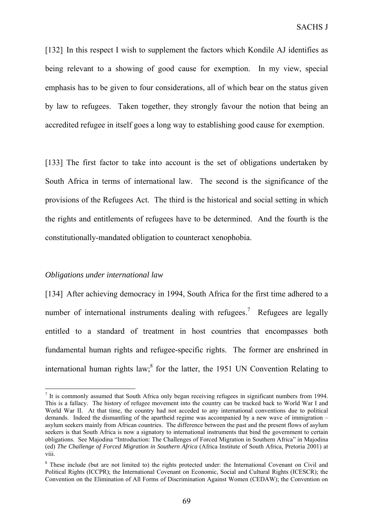[132] In this respect I wish to supplement the factors which Kondile AJ identifies as being relevant to a showing of good cause for exemption. In my view, special emphasis has to be given to four considerations, all of which bear on the status given by law to refugees. Taken together, they strongly favour the notion that being an accredited refugee in itself goes a long way to establishing good cause for exemption.

[133] The first factor to take into account is the set of obligations undertaken by South Africa in terms of international law. The second is the significance of the provisions of the Refugees Act. The third is the historical and social setting in which the rights and entitlements of refugees have to be determined. And the fourth is the constitutionally-mandated obligation to counteract xenophobia.

### *Obligations under international law*

 $\overline{a}$ 

[134] After achieving democracy in 1994, South Africa for the first time adhered to a number of international instruments dealing with refugees.<sup>7</sup> Refugees are legally entitled to a standard of treatment in host countries that encompasses both fundamental human rights and refugee-specific rights. The former are enshrined in international human rights  $law$ ,<sup>8</sup> for the latter, the 1951 UN Convention Relating to

 $<sup>7</sup>$  It is commonly assumed that South Africa only began receiving refugees in significant numbers from 1994.</sup> This is a fallacy. The history of refugee movement into the country can be tracked back to World War I and World War II. At that time, the country had not acceded to any international conventions due to political demands. Indeed the dismantling of the apartheid regime was accompanied by a new wave of immigration – asylum seekers mainly from African countries. The difference between the past and the present flows of asylum seekers is that South Africa is now a signatory to international instruments that bind the government to certain obligations. See Majodina "Introduction: The Challenges of Forced Migration in Southern Africa" in Majodina (ed) *The Challenge of Forced Migration in Southern Africa* (Africa Institute of South Africa, Pretoria 2001) at viii.

<sup>&</sup>lt;sup>8</sup> These include (but are not limited to) the rights protected under: the International Covenant on Civil and Political Rights (ICCPR); the International Covenant on Economic, Social and Cultural Rights (ICESCR); the Convention on the Elimination of All Forms of Discrimination Against Women (CEDAW); the Convention on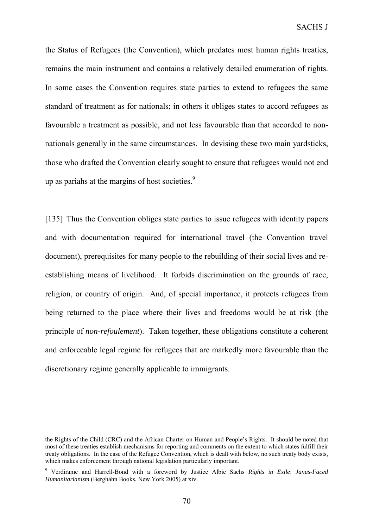the Status of Refugees (the Convention), which predates most human rights treaties, remains the main instrument and contains a relatively detailed enumeration of rights. In some cases the Convention requires state parties to extend to refugees the same standard of treatment as for nationals; in others it obliges states to accord refugees as favourable a treatment as possible, and not less favourable than that accorded to nonnationals generally in the same circumstances. In devising these two main yardsticks, those who drafted the Convention clearly sought to ensure that refugees would not end up as pariahs at the margins of host societies.<sup>9</sup>

[135] Thus the Convention obliges state parties to issue refugees with identity papers and with documentation required for international travel (the Convention travel document), prerequisites for many people to the rebuilding of their social lives and reestablishing means of livelihood. It forbids discrimination on the grounds of race, religion, or country of origin. And, of special importance, it protects refugees from being returned to the place where their lives and freedoms would be at risk (the principle of *non-refoulement*). Taken together, these obligations constitute a coherent and enforceable legal regime for refugees that are markedly more favourable than the discretionary regime generally applicable to immigrants.

the Rights of the Child (CRC) and the African Charter on Human and People's Rights. It should be noted that most of these treaties establish mechanisms for reporting and comments on the extent to which states fulfill their treaty obligations. In the case of the Refugee Convention, which is dealt with below, no such treaty body exists, which makes enforcement through national legislation particularly important.

<sup>9</sup> Verdirame and Harrell-Bond with a foreword by Justice Albie Sachs *Rights in Exile*: *Janus-Faced Humanitarianism* (Berghahn Books, New York 2005) at xiv.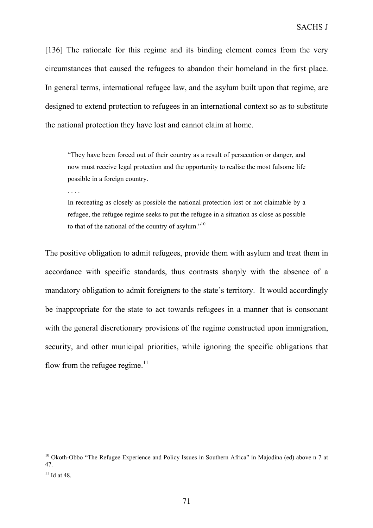[136] The rationale for this regime and its binding element comes from the very circumstances that caused the refugees to abandon their homeland in the first place. In general terms, international refugee law, and the asylum built upon that regime, are designed to extend protection to refugees in an international context so as to substitute the national protection they have lost and cannot claim at home.

"They have been forced out of their country as a result of persecution or danger, and now must receive legal protection and the opportunity to realise the most fulsome life possible in a foreign country.

. . . .

In recreating as closely as possible the national protection lost or not claimable by a refugee, the refugee regime seeks to put the refugee in a situation as close as possible to that of the national of the country of asylum."10

The positive obligation to admit refugees, provide them with asylum and treat them in accordance with specific standards, thus contrasts sharply with the absence of a mandatory obligation to admit foreigners to the state's territory. It would accordingly be inappropriate for the state to act towards refugees in a manner that is consonant with the general discretionary provisions of the regime constructed upon immigration, security, and other municipal priorities, while ignoring the specific obligations that flow from the refugee regime. $^{11}$ 

<sup>&</sup>lt;sup>10</sup> Okoth-Obbo "The Refugee Experience and Policy Issues in Southern Africa" in Majodina (ed) above n 7 at 47.

 $11$  Id at 48.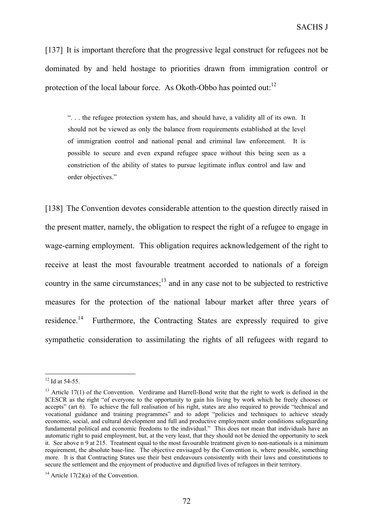[137] It is important therefore that the progressive legal construct for refugees not be dominated by and held hostage to priorities drawn from immigration control or protection of the local labour force. As Okoth-Obbo has pointed out:<sup>12</sup>

". . . the refugee protection system has, and should have, a validity all of its own. It should not be viewed as only the balance from requirements established at the level of immigration control and national penal and criminal law enforcement. It is possible to secure and even expand refugee space without this being seen as a constriction of the ability of states to pursue legitimate influx control and law and order objectives."

[138] The Convention devotes considerable attention to the question directly raised in the present matter, namely, the obligation to respect the right of a refugee to engage in wage-earning employment. This obligation requires acknowledgement of the right to receive at least the most favourable treatment accorded to nationals of a foreign country in the same circumstances; $<sup>13</sup>$  and in any case not to be subjected to restrictive</sup> measures for the protection of the national labour market after three years of residence.<sup>14</sup> Furthermore, the Contracting States are expressly required to give sympathetic consideration to assimilating the rights of all refugees with regard to

 $12$  Id at 54-55.

 $13$  Article 17(1) of the Convention. Verdirame and Harrell-Bond write that the right to work is defined in the ICESCR as the right "of everyone to the opportunity to gain his living by work which he freely chooses or accepts" (art 6). To achieve the full realisation of his right, states are also required to provide "technical and vocational guidance and training programmes" and to adopt "policies and techniques to achieve steady economic, social, and cultural development and full and productive employment under conditions safeguarding fundamental political and economic freedoms to the individual." This does not mean that individuals have an automatic right to paid employment, but, at the very least, that they should not be denied the opportunity to seek it. See above n 9 at 215. Treatment equal to the most favourable treatment given to non-nationals is a minimum requirement, the absolute base-line. The objective envisaged by the Convention is, where possible, something more. It is that Contracting States use their best endeavours consistently with their laws and constitutions to secure the settlement and the enjoyment of productive and dignified lives of refugees in their territory.

<sup>&</sup>lt;sup>14</sup> Article 17(2)(a) of the Convention.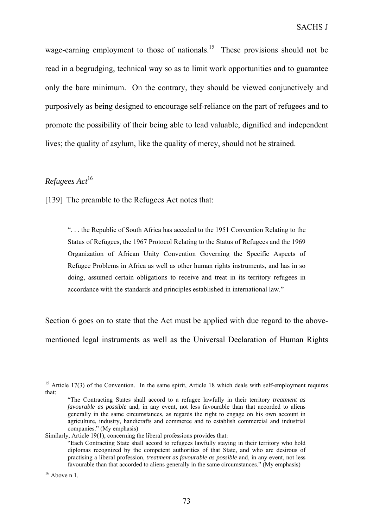wage-earning employment to those of nationals.<sup>15</sup> These provisions should not be read in a begrudging, technical way so as to limit work opportunities and to guarantee only the bare minimum. On the contrary, they should be viewed conjunctively and purposively as being designed to encourage self-reliance on the part of refugees and to promote the possibility of their being able to lead valuable, dignified and independent lives; the quality of asylum, like the quality of mercy, should not be strained.

## *Refugees Act*<sup>16</sup>

[139] The preamble to the Refugees Act notes that:

". . . the Republic of South Africa has acceded to the 1951 Convention Relating to the Status of Refugees, the 1967 Protocol Relating to the Status of Refugees and the 1969 Organization of African Unity Convention Governing the Specific Aspects of Refugee Problems in Africa as well as other human rights instruments, and has in so doing, assumed certain obligations to receive and treat in its territory refugees in accordance with the standards and principles established in international law."

Section 6 goes on to state that the Act must be applied with due regard to the abovementioned legal instruments as well as the Universal Declaration of Human Rights

<sup>&</sup>lt;sup>15</sup> Article 17(3) of the Convention. In the same spirit, Article 18 which deals with self-employment requires that:

<sup>&</sup>quot;The Contracting States shall accord to a refugee lawfully in their territory *treatment as favourable as possible* and, in any event, not less favourable than that accorded to aliens generally in the same circumstances, as regards the right to engage on his own account in agriculture, industry, handicrafts and commerce and to establish commercial and industrial companies." (My emphasis)

Similarly, Article 19(1), concerning the liberal professions provides that: "Each Contracting State shall accord to refugees lawfully staying in their territory who hold diplomas recognized by the competent authorities of that State, and who are desirous of practising a liberal profession, *treatment as favourable as possible* and, in any event, not less favourable than that accorded to aliens generally in the same circumstances." (My emphasis)

 $16$  Above n 1.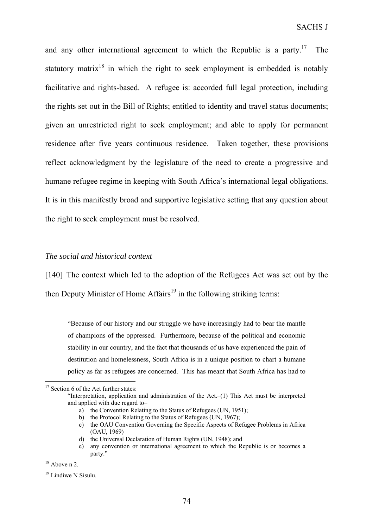and any other international agreement to which the Republic is a party.<sup>17</sup> The statutory matrix<sup>18</sup> in which the right to seek employment is embedded is notably facilitative and rights-based. A refugee is: accorded full legal protection, including the rights set out in the Bill of Rights; entitled to identity and travel status documents; given an unrestricted right to seek employment; and able to apply for permanent residence after five years continuous residence. Taken together, these provisions reflect acknowledgment by the legislature of the need to create a progressive and humane refugee regime in keeping with South Africa's international legal obligations. It is in this manifestly broad and supportive legislative setting that any question about the right to seek employment must be resolved.

## *The social and historical context*

[140] The context which led to the adoption of the Refugees Act was set out by the then Deputy Minister of Home  $Affairs^{19}$  in the following striking terms:

"Because of our history and our struggle we have increasingly had to bear the mantle of champions of the oppressed. Furthermore, because of the political and economic stability in our country, and the fact that thousands of us have experienced the pain of destitution and homelessness, South Africa is in a unique position to chart a humane policy as far as refugees are concerned. This has meant that South Africa has had to

<sup>&</sup>lt;sup>17</sup> Section 6 of the Act further states:

<sup>&</sup>quot;Interpretation, application and administration of the Act.–(1) This Act must be interpreted and applied with due regard to–

a) the Convention Relating to the Status of Refugees (UN, 1951);

b) the Protocol Relating to the Status of Refugees (UN, 1967);

c) the OAU Convention Governing the Specific Aspects of Refugee Problems in Africa (OAU, 1969)

d) the Universal Declaration of Human Rights (UN, 1948); and

e) any convention or international agreement to which the Republic is or becomes a party."

 $18$  Above n 2.

<sup>&</sup>lt;sup>19</sup> Lindiwe N Sisulu.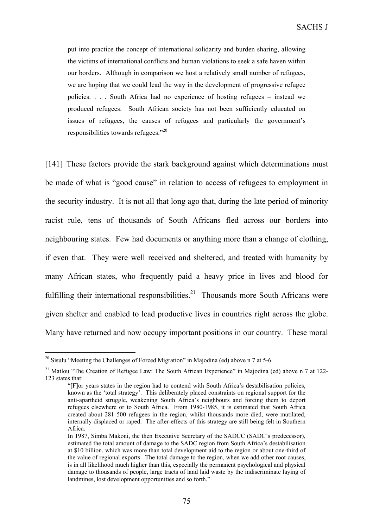put into practice the concept of international solidarity and burden sharing, allowing the victims of international conflicts and human violations to seek a safe haven within our borders. Although in comparison we host a relatively small number of refugees, we are hoping that we could lead the way in the development of progressive refugee policies. . . . South Africa had no experience of hosting refugees – instead we produced refugees. South African society has not been sufficiently educated on issues of refugees, the causes of refugees and particularly the government's responsibilities towards refugees."<sup>20</sup>

[141] These factors provide the stark background against which determinations must be made of what is "good cause" in relation to access of refugees to employment in the security industry. It is not all that long ago that, during the late period of minority racist rule, tens of thousands of South Africans fled across our borders into neighbouring states. Few had documents or anything more than a change of clothing, if even that. They were well received and sheltered, and treated with humanity by many African states, who frequently paid a heavy price in lives and blood for fulfilling their international responsibilities.<sup>21</sup> Thousands more South Africans were given shelter and enabled to lead productive lives in countries right across the globe. Many have returned and now occupy important positions in our country. These moral

<sup>&</sup>lt;sup>20</sup> Sisulu "Meeting the Challenges of Forced Migration" in Majodina (ed) above n 7 at 5-6.

<sup>&</sup>lt;sup>21</sup> Matlou "The Creation of Refugee Law: The South African Experience" in Majodina (ed) above n 7 at 122-123 states that:

<sup>&</sup>quot;[F]or years states in the region had to contend with South Africa's destabilisation policies, known as the 'total strategy'. This deliberately placed constraints on regional support for the anti-apartheid struggle, weakening South Africa's neighbours and forcing them to deport refugees elsewhere or to South Africa. From 1980-1985, it is estimated that South Africa created about 281 500 refugees in the region, whilst thousands more died, were mutilated, internally displaced or raped. The after-effects of this strategy are still being felt in Southern Africa.

In 1987, Simba Makoni, the then Executive Secretary of the SADCC (SADC's predecessor), estimated the total amount of damage to the SADC region from South Africa's destabilisation at \$10 billion, which was more than total development aid to the region or about one-third of the value of regional exports. The total damage to the region, when we add other root causes, is in all likelihood much higher than this, especially the permanent psychological and physical damage to thousands of people, large tracts of land laid waste by the indiscriminate laying of landmines, lost development opportunities and so forth."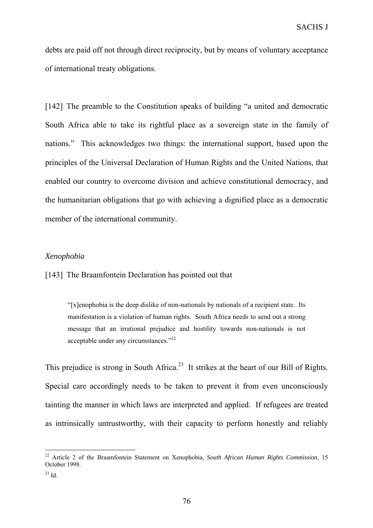debts are paid off not through direct reciprocity, but by means of voluntary acceptance of international treaty obligations.

[142] The preamble to the Constitution speaks of building "a united and democratic South Africa able to take its rightful place as a sovereign state in the family of nations." This acknowledges two things: the international support, based upon the principles of the Universal Declaration of Human Rights and the United Nations, that enabled our country to overcome division and achieve constitutional democracy, and the humanitarian obligations that go with achieving a dignified place as a democratic member of the international community.

## *Xenophobia*

[143] The Braamfontein Declaration has pointed out that

"[x]enophobia is the deep dislike of non-nationals by nationals of a recipient state. Its manifestation is a violation of human rights. South Africa needs to send out a strong message that an irrational prejudice and hostility towards non-nationals is not acceptable under any circumstances. $22$ 

This prejudice is strong in South Africa.<sup>23</sup> It strikes at the heart of our Bill of Rights. Special care accordingly needs to be taken to prevent it from even unconsciously tainting the manner in which laws are interpreted and applied. If refugees are treated as intrinsically untrustworthy, with their capacity to perform honestly and reliably

<sup>22</sup> Article 2 of the Braamfontein Statement on Xenophobia, *South African Human Rights Commission*, 15 October 1998.

<sup>23</sup> Id.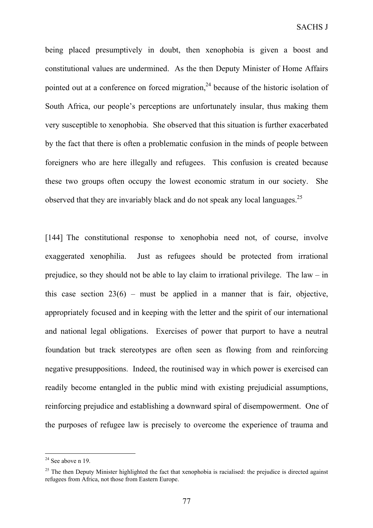being placed presumptively in doubt, then xenophobia is given a boost and constitutional values are undermined. As the then Deputy Minister of Home Affairs pointed out at a conference on forced migration,  $24$  because of the historic isolation of South Africa, our people's perceptions are unfortunately insular, thus making them very susceptible to xenophobia. She observed that this situation is further exacerbated by the fact that there is often a problematic confusion in the minds of people between foreigners who are here illegally and refugees. This confusion is created because these two groups often occupy the lowest economic stratum in our society. She observed that they are invariably black and do not speak any local languages.<sup>25</sup>

[144] The constitutional response to xenophobia need not, of course, involve exaggerated xenophilia. Just as refugees should be protected from irrational prejudice, so they should not be able to lay claim to irrational privilege. The law – in this case section  $23(6)$  – must be applied in a manner that is fair, objective, appropriately focused and in keeping with the letter and the spirit of our international and national legal obligations. Exercises of power that purport to have a neutral foundation but track stereotypes are often seen as flowing from and reinforcing negative presuppositions. Indeed, the routinised way in which power is exercised can readily become entangled in the public mind with existing prejudicial assumptions, reinforcing prejudice and establishing a downward spiral of disempowerment. One of the purposes of refugee law is precisely to overcome the experience of trauma and

 $24$  See above n 19.

 $25$  The then Deputy Minister highlighted the fact that xenophobia is racialised: the prejudice is directed against refugees from Africa, not those from Eastern Europe.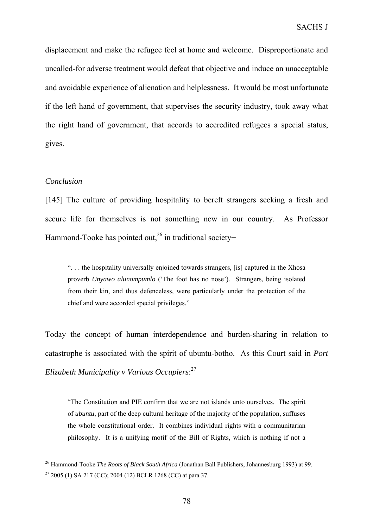displacement and make the refugee feel at home and welcome. Disproportionate and uncalled-for adverse treatment would defeat that objective and induce an unacceptable and avoidable experience of alienation and helplessness. It would be most unfortunate if the left hand of government, that supervises the security industry, took away what the right hand of government, that accords to accredited refugees a special status, gives.

## *Conclusion*

[145] The culture of providing hospitality to bereft strangers seeking a fresh and secure life for themselves is not something new in our country. As Professor Hammond-Tooke has pointed out,<sup>26</sup> in traditional society–

". . . the hospitality universally enjoined towards strangers, [is] captured in the Xhosa proverb *Unyawo alunompumlo* ('The foot has no nose'). Strangers, being isolated from their kin, and thus defenceless, were particularly under the protection of the chief and were accorded special privileges."

Today the concept of human interdependence and burden-sharing in relation to catastrophe is associated with the spirit of ubuntu-botho. As this Court said in *Port Elizabeth Municipality v Various Occupiers*: 27

"The Constitution and PIE confirm that we are not islands unto ourselves. The spirit of *ubuntu*, part of the deep cultural heritage of the majority of the population, suffuses the whole constitutional order. It combines individual rights with a communitarian philosophy. It is a unifying motif of the Bill of Rights, which is nothing if not a

<sup>26</sup> Hammond-Tooke *The Roots of Black South Africa* (Jonathan Ball Publishers, Johannesburg 1993) at 99.

 $27$  2005 (1) SA 217 (CC); 2004 (12) BCLR 1268 (CC) at para 37.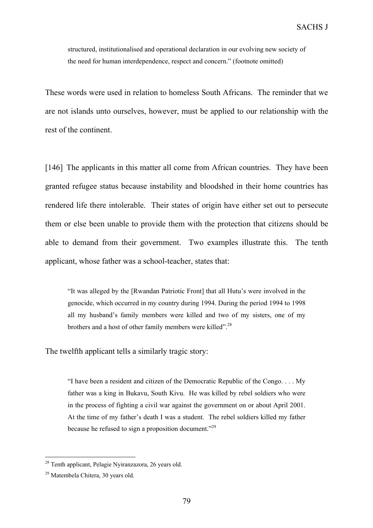structured, institutionalised and operational declaration in our evolving new society of the need for human interdependence, respect and concern." (footnote omitted)

These words were used in relation to homeless South Africans. The reminder that we are not islands unto ourselves, however, must be applied to our relationship with the rest of the continent.

[146] The applicants in this matter all come from African countries. They have been granted refugee status because instability and bloodshed in their home countries has rendered life there intolerable. Their states of origin have either set out to persecute them or else been unable to provide them with the protection that citizens should be able to demand from their government. Two examples illustrate this. The tenth applicant, whose father was a school-teacher, states that:

"It was alleged by the [Rwandan Patriotic Front] that all Hutu's were involved in the genocide, which occurred in my country during 1994. During the period 1994 to 1998 all my husband's family members were killed and two of my sisters, one of my brothers and a host of other family members were killed".<sup>28</sup>

The twelfth applicant tells a similarly tragic story:

"I have been a resident and citizen of the Democratic Republic of the Congo. . . . My father was a king in Bukavu, South Kivu. He was killed by rebel soldiers who were in the process of fighting a civil war against the government on or about April 2001. At the time of my father's death I was a student. The rebel soldiers killed my father because he refused to sign a proposition document."29

 $28$  Tenth applicant, Pelagie Nyiranzazora, 26 years old.

<sup>29</sup> Matembela Chitera, 30 years old.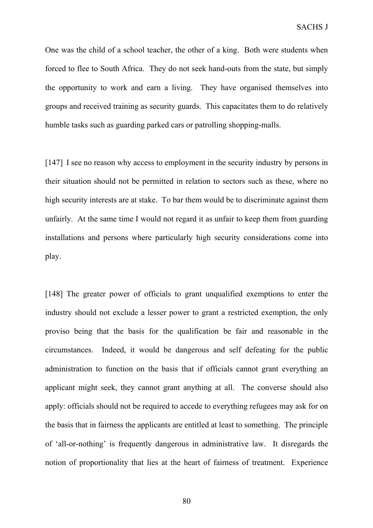One was the child of a school teacher, the other of a king. Both were students when forced to flee to South Africa. They do not seek hand-outs from the state, but simply the opportunity to work and earn a living. They have organised themselves into groups and received training as security guards. This capacitates them to do relatively humble tasks such as guarding parked cars or patrolling shopping-malls.

[147] I see no reason why access to employment in the security industry by persons in their situation should not be permitted in relation to sectors such as these, where no high security interests are at stake. To bar them would be to discriminate against them unfairly. At the same time I would not regard it as unfair to keep them from guarding installations and persons where particularly high security considerations come into play.

[148] The greater power of officials to grant unqualified exemptions to enter the industry should not exclude a lesser power to grant a restricted exemption, the only proviso being that the basis for the qualification be fair and reasonable in the circumstances. Indeed, it would be dangerous and self defeating for the public administration to function on the basis that if officials cannot grant everything an applicant might seek, they cannot grant anything at all. The converse should also apply: officials should not be required to accede to everything refugees may ask for on the basis that in fairness the applicants are entitled at least to something. The principle of 'all-or-nothing' is frequently dangerous in administrative law. It disregards the notion of proportionality that lies at the heart of fairness of treatment. Experience

80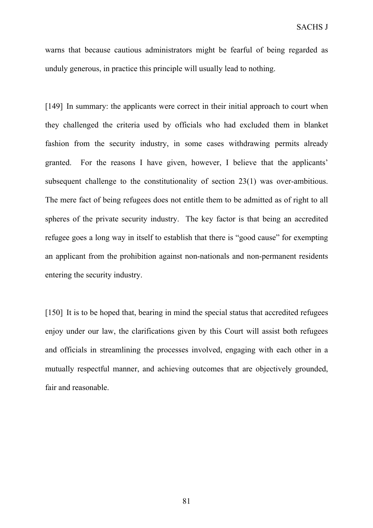warns that because cautious administrators might be fearful of being regarded as unduly generous, in practice this principle will usually lead to nothing.

[149] In summary: the applicants were correct in their initial approach to court when they challenged the criteria used by officials who had excluded them in blanket fashion from the security industry, in some cases withdrawing permits already granted. For the reasons I have given, however, I believe that the applicants' subsequent challenge to the constitutionality of section 23(1) was over-ambitious. The mere fact of being refugees does not entitle them to be admitted as of right to all spheres of the private security industry. The key factor is that being an accredited refugee goes a long way in itself to establish that there is "good cause" for exempting an applicant from the prohibition against non-nationals and non-permanent residents entering the security industry.

[150] It is to be hoped that, bearing in mind the special status that accredited refugees enjoy under our law, the clarifications given by this Court will assist both refugees and officials in streamlining the processes involved, engaging with each other in a mutually respectful manner, and achieving outcomes that are objectively grounded, fair and reasonable.